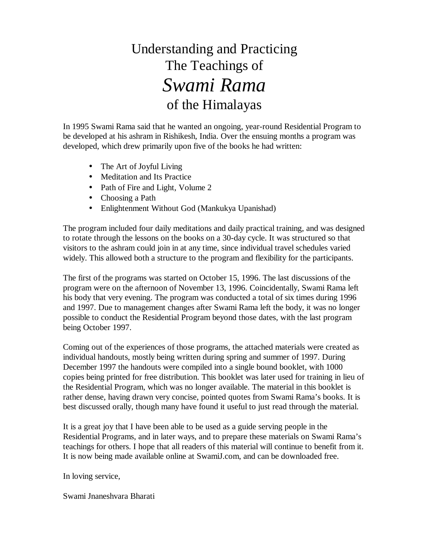# Understanding and Practicing The Teachings of *Swami Rama*  of the Himalayas

In 1995 Swami Rama said that he wanted an ongoing, year-round Residential Program to be developed at his ashram in Rishikesh, India. Over the ensuing months a program was developed, which drew primarily upon five of the books he had written:

- The Art of Joyful Living
- Meditation and Its Practice
- Path of Fire and Light, Volume 2
- Choosing a Path
- Enlightenment Without God (Mankukya Upanishad)

The program included four daily meditations and daily practical training, and was designed to rotate through the lessons on the books on a 30-day cycle. It was structured so that visitors to the ashram could join in at any time, since individual travel schedules varied widely. This allowed both a structure to the program and flexibility for the participants.

The first of the programs was started on October 15, 1996. The last discussions of the program were on the afternoon of November 13, 1996. Coincidentally, Swami Rama left his body that very evening. The program was conducted a total of six times during 1996 and 1997. Due to management changes after Swami Rama left the body, it was no longer possible to conduct the Residential Program beyond those dates, with the last program being October 1997.

Coming out of the experiences of those programs, the attached materials were created as individual handouts, mostly being written during spring and summer of 1997. During December 1997 the handouts were compiled into a single bound booklet, with 1000 copies being printed for free distribution. This booklet was later used for training in lieu of the Residential Program, which was no longer available. The material in this booklet is rather dense, having drawn very concise, pointed quotes from Swami Rama's books. It is best discussed orally, though many have found it useful to just read through the material.

It is a great joy that I have been able to be used as a guide serving people in the Residential Programs, and in later ways, and to prepare these materials on Swami Rama's teachings for others. I hope that all readers of this material will continue to benefit from it. It is now being made available online at SwamiJ.com, and can be downloaded free.

In loving service,

Swami Jnaneshvara Bharati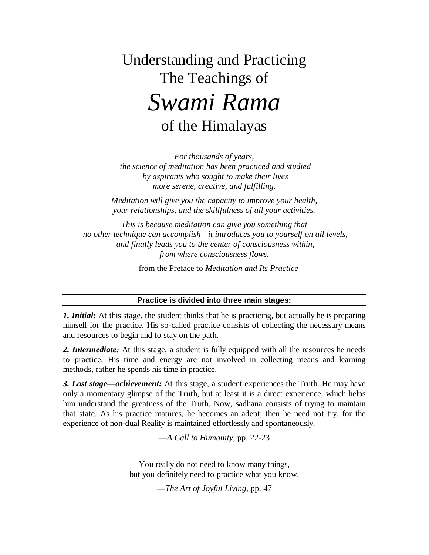# Understanding and Practicing The Teachings of *Swami Rama*  of the Himalayas

*For thousands of years, the science of meditation has been practiced and studied by aspirants who sought to make their lives more serene, creative, and fulfilling.* 

*Meditation will give you the capacity to improve your health, your relationships, and the skillfulness of all your activities.* 

*This is because meditation can give you something that no other technique can accomplish—it introduces you to yourself on all levels, and finally leads you to the center of consciousness within, from where consciousness flows.* 

—from the Preface to *Meditation and Its Practice* 

# **Practice is divided into three main stages:**

*1. Initial:* At this stage, the student thinks that he is practicing, but actually he is preparing himself for the practice. His so-called practice consists of collecting the necessary means and resources to begin and to stay on the path.

*2. Intermediate:* At this stage, a student is fully equipped with all the resources he needs to practice. His time and energy are not involved in collecting means and learning methods, rather he spends his time in practice.

*3. Last stage—achievement:* At this stage, a student experiences the Truth. He may have only a momentary glimpse of the Truth, but at least it is a direct experience, which helps him understand the greatness of the Truth. Now, sadhana consists of trying to maintain that state. As his practice matures, he becomes an adept; then he need not try, for the experience of non-dual Reality is maintained effortlessly and spontaneously.

—*A Call to Humanity*, pp. 22-23

You really do not need to know many things, but you definitely need to practice what you know.

—*The Art of Joyful Living*, pp. 47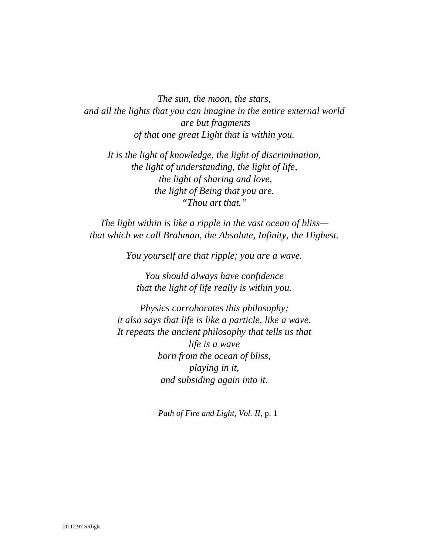*The sun, the moon, the stars, and all the lights that you can imagine in the entire external world are but fragments of that one great Light that is within you.* 

*It is the light of knowledge, the light of discrimination, the light of understanding, the light of life, the light of sharing and love, the light of Being that you are. "Thou art that."* 

*The light within is like a ripple in the vast ocean of bliss that which we call Brahman, the Absolute, Infinity, the Highest.* 

*You yourself are that ripple; you are a wave.* 

*You should always have confidence that the light of life really is within you.* 

*Physics corroborates this philosophy; it also says that life is like a particle, like a wave. It repeats the ancient philosophy that tells us that life is a wave born from the ocean of bliss, playing in it, and subsiding again into it.*

*—Path of Fire and Light, Vol. II*, p. 1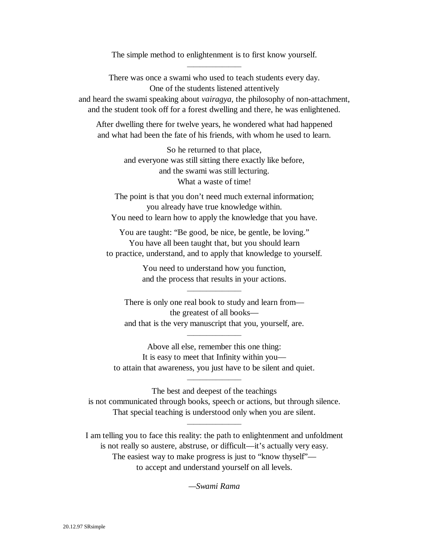The simple method to enlightenment is to first know yourself. \_\_\_\_\_\_\_\_\_\_\_\_\_\_\_\_\_

There was once a swami who used to teach students every day. One of the students listened attentively and heard the swami speaking about *vairagya,* the philosophy of non-attachment, and the student took off for a forest dwelling and there, he was enlightened.

After dwelling there for twelve years, he wondered what had happened and what had been the fate of his friends, with whom he used to learn.

> So he returned to that place, and everyone was still sitting there exactly like before, and the swami was still lecturing. What a waste of time!

The point is that you don't need much external information; you already have true knowledge within. You need to learn how to apply the knowledge that you have.

You are taught: "Be good, be nice, be gentle, be loving." You have all been taught that, but you should learn to practice, understand, and to apply that knowledge to yourself.

> You need to understand how you function, and the process that results in your actions.

> > \_\_\_\_\_\_\_\_\_\_\_\_\_\_\_\_\_

There is only one real book to study and learn from the greatest of all books and that is the very manuscript that you, yourself, are.

\_\_\_\_\_\_\_\_\_\_\_\_\_\_\_\_\_

Above all else, remember this one thing: It is easy to meet that Infinity within you to attain that awareness, you just have to be silent and quiet.

\_\_\_\_\_\_\_\_\_\_\_\_\_\_\_\_\_

The best and deepest of the teachings is not communicated through books, speech or actions, but through silence. That special teaching is understood only when you are silent.

\_\_\_\_\_\_\_\_\_\_\_\_\_\_\_\_\_

I am telling you to face this reality: the path to enlightenment and unfoldment is not really so austere, abstruse, or difficult—it's actually very easy. The easiest way to make progress is just to "know thyself" to accept and understand yourself on all levels.

*—Swami Rama*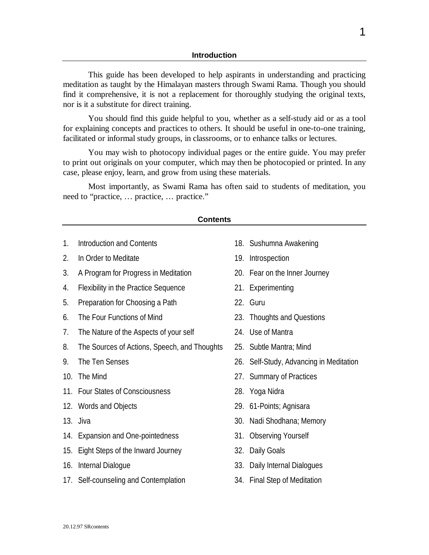This guide has been developed to help aspirants in understanding and practicing meditation as taught by the Himalayan masters through Swami Rama. Though you should find it comprehensive, it is not a replacement for thoroughly studying the original texts, nor is it a substitute for direct training.

You should find this guide helpful to you, whether as a self-study aid or as a tool for explaining concepts and practices to others. It should be useful in one-to-one training, facilitated or informal study groups, in classrooms, or to enhance talks or lectures.

You may wish to photocopy individual pages or the entire guide. You may prefer to print out originals on your computer, which may then be photocopied or printed. In any case, please enjoy, learn, and grow from using these materials.

Most importantly, as Swami Rama has often said to students of meditation, you need to "practice, … practice, … practice."

| <b>Contents</b> |                                              |  |                                         |  |  |  |
|-----------------|----------------------------------------------|--|-----------------------------------------|--|--|--|
|                 |                                              |  |                                         |  |  |  |
| 1.              | <b>Introduction and Contents</b>             |  | 18. Sushumna Awakening                  |  |  |  |
| 2.              | In Order to Meditate                         |  | 19. Introspection                       |  |  |  |
| 3.              | A Program for Progress in Meditation         |  | 20. Fear on the Inner Journey           |  |  |  |
| 4.              | <b>Flexibility in the Practice Sequence</b>  |  | 21. Experimenting                       |  |  |  |
| 5.              | Preparation for Choosing a Path              |  | 22. Guru                                |  |  |  |
| 6.              | The Four Functions of Mind                   |  | 23. Thoughts and Questions              |  |  |  |
| 7.              | The Nature of the Aspects of your self       |  | 24. Use of Mantra                       |  |  |  |
| 8.              | The Sources of Actions, Speech, and Thoughts |  | 25. Subtle Mantra; Mind                 |  |  |  |
| 9.              | The Ten Senses                               |  | 26. Self-Study, Advancing in Meditation |  |  |  |
| 10.             | The Mind                                     |  | 27. Summary of Practices                |  |  |  |
|                 | 11. Four States of Consciousness             |  | 28. Yoga Nidra                          |  |  |  |
|                 | 12. Words and Objects                        |  | 29. 61-Points; Agnisara                 |  |  |  |
|                 | 13. Jiva                                     |  | 30. Nadi Shodhana; Memory               |  |  |  |
|                 | 14. Expansion and One-pointedness            |  | 31. Observing Yourself                  |  |  |  |
|                 | 15. Eight Steps of the Inward Journey        |  | 32. Daily Goals                         |  |  |  |
|                 | 16. Internal Dialogue                        |  | 33. Daily Internal Dialogues            |  |  |  |
|                 | 17. Self-counseling and Contemplation        |  | 34. Final Step of Meditation            |  |  |  |
|                 |                                              |  |                                         |  |  |  |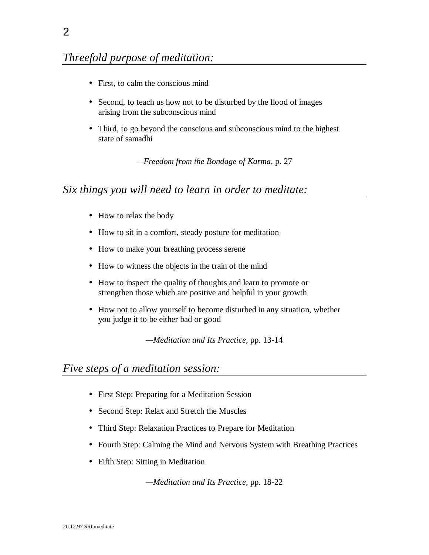# *Threefold purpose of meditation:*

- First, to calm the conscious mind
- Second, to teach us how not to be disturbed by the flood of images arising from the subconscious mind
- Third, to go beyond the conscious and subconscious mind to the highest state of samadhi

*—Freedom from the Bondage of Karma*, p. 27

# *Six things you will need to learn in order to meditate:*

- How to relax the body
- How to sit in a comfort, steady posture for meditation
- How to make your breathing process serene
- How to witness the objects in the train of the mind
- How to inspect the quality of thoughts and learn to promote or strengthen those which are positive and helpful in your growth
- How not to allow yourself to become disturbed in any situation, whether you judge it to be either bad or good

*—Meditation and Its Practice*, pp. 13-14

# *Five steps of a meditation session:*

- First Step: Preparing for a Meditation Session
- Second Step: Relax and Stretch the Muscles
- Third Step: Relaxation Practices to Prepare for Meditation
- Fourth Step: Calming the Mind and Nervous System with Breathing Practices
- Fifth Step: Sitting in Meditation

*—Meditation and Its Practice*, pp. 18-22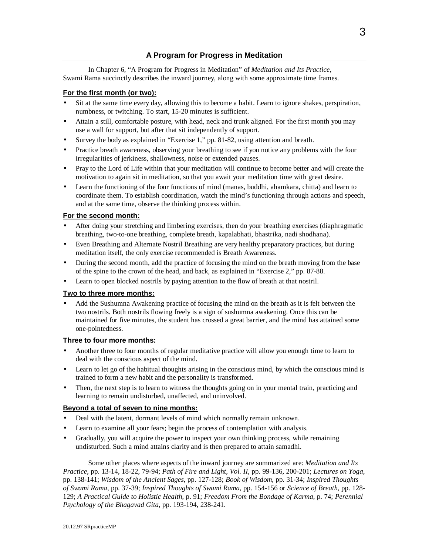# **A Program for Progress in Meditation**

In Chapter 6, "A Program for Progress in Meditation" of *Meditation and Its Practice*, Swami Rama succinctly describes the inward journey, along with some approximate time frames.

## **For the first month (or two):**

- Sit at the same time every day, allowing this to become a habit. Learn to ignore shakes, perspiration, numbness, or twitching. To start, 15-20 minutes is sufficient.
- Attain a still, comfortable posture, with head, neck and trunk aligned. For the first month you may use a wall for support, but after that sit independently of support.
- Survey the body as explained in "Exercise 1," pp. 81-82, using attention and breath.
- Practice breath awareness, observing your breathing to see if you notice any problems with the four irregularities of jerkiness, shallowness, noise or extended pauses.
- Pray to the Lord of Life within that your meditation will continue to become better and will create the motivation to again sit in meditation, so that you await your meditation time with great desire.
- Learn the functioning of the four functions of mind (manas, buddhi, ahamkara, chitta) and learn to coordinate them. To establish coordination, watch the mind's functioning through actions and speech, and at the same time, observe the thinking process within.

### **For the second month:**

- After doing your stretching and limbering exercises, then do your breathing exercises (diaphragmatic breathing, two-to-one breathing, complete breath, kapalabhati, bhastrika, nadi shodhana).
- Even Breathing and Alternate Nostril Breathing are very healthy preparatory practices, but during meditation itself, the only exercise recommended is Breath Awareness.
- During the second month, add the practice of focusing the mind on the breath moving from the base of the spine to the crown of the head, and back, as explained in "Exercise 2," pp. 87-88.
- Learn to open blocked nostrils by paying attention to the flow of breath at that nostril.

### **Two to three more months:**

• Add the Sushumna Awakening practice of focusing the mind on the breath as it is felt between the two nostrils. Both nostrils flowing freely is a sign of sushumna awakening. Once this can be maintained for five minutes, the student has crossed a great barrier, and the mind has attained some one-pointedness.

### **Three to four more months:**

- Another three to four months of regular meditative practice will allow you enough time to learn to deal with the conscious aspect of the mind.
- Learn to let go of the habitual thoughts arising in the conscious mind, by which the conscious mind is trained to form a new habit and the personality is transformed.
- Then, the next step is to learn to witness the thoughts going on in your mental train, practicing and learning to remain undisturbed, unaffected, and uninvolved.

### **Beyond a total of seven to nine months:**

- Deal with the latent, dormant levels of mind which normally remain unknown.
- Learn to examine all your fears; begin the process of contemplation with analysis.
- Gradually, you will acquire the power to inspect your own thinking process, while remaining undisturbed. Such a mind attains clarity and is then prepared to attain samadhi.

Some other places where aspects of the inward journey are summarized are: *Meditation and Its Practice*, pp. 13-14, 18-22, 79-94; *Path of Fire and Light, Vol. II*, pp. 99-136, 200-201; *Lectures on Yoga*, pp. 138-141; *Wisdom of the Ancient Sages*, pp. 127-128; *Book of Wisdom*, pp. 31-34; *Inspired Thoughts of Swami Rama*, pp. 37-39; *Inspired Thoughts of Swami Rama*, pp. 154-156 or *Science of Breath*, pp. 128- 129; *A Practical Guide to Holistic Health*, p. 91; *Freedom From the Bondage of Karma*, p. 74; *Perennial Psychology of the Bhagavad Gita*, pp. 193-194, 238-241.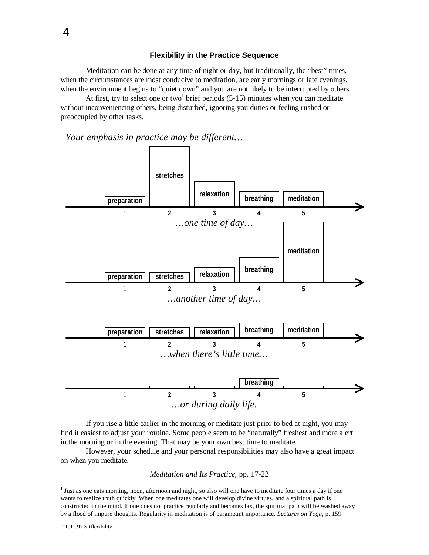4

# **Flexibility in the Practice Sequence**

Meditation can be done at any time of night or day, but traditionally, the "best" times, when the circumstances are most conducive to meditation, are early mornings or late evenings, when the environment begins to "quiet down" and you are not likely to be interrupted by others.

At first, try to select one or two<sup>1</sup> brief periods  $(5-15)$  minutes when you can meditate without inconveniencing others, being disturbed, ignoring you duties or feeling rushed or preoccupied by other tasks.

*Your emphasis in practice may be different…* 



If you rise a little earlier in the morning or meditate just prior to bed at night, you may find it easiest to adjust your routine. Some people seem to be "naturally" freshest and more alert in the morning or in the evening. That may be your own best time to meditate.

However, your schedule and your personal responsibilities may also have a great impact on when you meditate.

*Meditation and Its Practice*, pp. 17-22

<sup>1</sup> Just as one eats morning, noon, afternoon and night, so also will one have to meditate four times a day if one wants to realize truth quickly. When one meditates one will develop divine virtues, and a spiritual path is constructed in the mind. If one does not practice regularly and becomes lax, the spiritual path will be washed away by a flood of impure thoughts. Regularity in meditation is of paramount importance. *Lectures on Yoga*, p. 159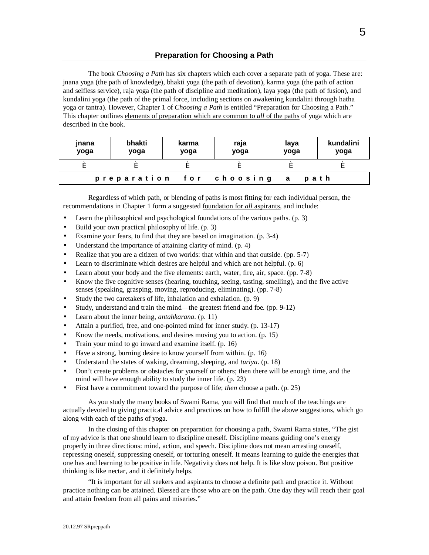### **Preparation for Choosing a Path**

The book *Choosing a Path* has six chapters which each cover a separate path of yoga. These are: jnana yoga (the path of knowledge), bhakti yoga (the path of devotion), karma yoga (the path of action and selfless service), raja yoga (the path of discipline and meditation), laya yoga (the path of fusion), and kundalini yoga (the path of the primal force, including sections on awakening kundalini through hatha yoga or tantra). However, Chapter 1 of *Choosing a Path* is entitled "Preparation for Choosing a Path." This chapter outlines elements of preparation which are common to *all* of the paths of yoga which are described in the book.

| jnana<br>yoga | bhakti<br>yoga | karma<br>yoga | raja<br>yoga | laya<br>yoga | kundalini<br>yoga |
|---------------|----------------|---------------|--------------|--------------|-------------------|
| е             | е              | е             | е            | е            | е                 |
|               | preparation    |               | for choosing | path<br>a a  |                   |

Regardless of which path, or blending of paths is most fitting for each individual person, the recommendations in Chapter 1 form a suggested foundation for *all* aspirants, and include:

- Learn the philosophical and psychological foundations of the various paths. (p. 3)
- Build your own practical philosophy of life. (p. 3)
- Examine your fears, to find that they are based on imagination. (p. 3-4)
- Understand the importance of attaining clarity of mind. (p. 4)
- Realize that you are a citizen of two worlds: that within and that outside. (pp. 5-7)
- Learn to discriminate which desires are helpful and which are not helpful. (p. 6)
- Learn about your body and the five elements: earth, water, fire, air, space. (pp. 7-8)
- Know the five cognitive senses (hearing, touching, seeing, tasting, smelling), and the five active senses (speaking, grasping, moving, reproducing, eliminating). (pp. 7-8)
- Study the two caretakers of life, inhalation and exhalation. (p. 9)
- Study, understand and train the mind—the greatest friend and foe. (pp. 9-12)
- Learn about the inner being, *antahkarana*. (p. 11)
- Attain a purified, free, and one-pointed mind for inner study. (p. 13-17)
- Know the needs, motivations, and desires moving you to action. (p. 15)
- Train your mind to go inward and examine itself. (p. 16)
- Have a strong, burning desire to know yourself from within. (p. 16)
- Understand the states of waking, dreaming, sleeping, and *turiya*. (p. 18)
- Don't create problems or obstacles for yourself or others; then there will be enough time, and the mind will have enough ability to study the inner life. (p. 23)
- First have a commitment toward the purpose of life; *then* choose a path. (p. 25)

As you study the many books of Swami Rama, you will find that much of the teachings are actually devoted to giving practical advice and practices on how to fulfill the above suggestions, which go along with each of the paths of yoga.

In the closing of this chapter on preparation for choosing a path, Swami Rama states, "The gist of my advice is that one should learn to discipline oneself. Discipline means guiding one's energy properly in three directions: mind, action, and speech. Discipline does not mean arresting oneself, repressing oneself, suppressing oneself, or torturing oneself. It means learning to guide the energies that one has and learning to be positive in life. Negativity does not help. It is like slow poison. But positive thinking is like nectar, and it definitely helps.

"It is important for all seekers and aspirants to choose a definite path and practice it. Without practice nothing can be attained. Blessed are those who are on the path. One day they will reach their goal and attain freedom from all pains and miseries."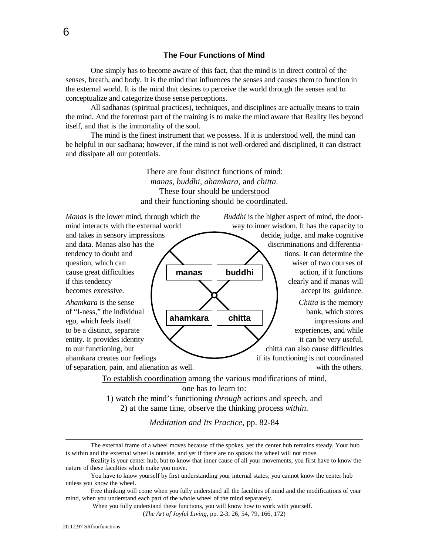6

One simply has to become aware of this fact, that the mind is in direct control of the senses, breath, and body. It is the mind that influences the senses and causes them to function in the external world. It is the mind that desires to perceive the world through the senses and to conceptualize and categorize those sense perceptions.

All sadhanas (spiritual practices), techniques, and disciplines are actually means to train the mind. And the foremost part of the training is to make the mind aware that Reality lies beyond itself, and that is the immortality of the soul.

The mind is the finest instrument that we possess. If it is understood well, the mind can be helpful in our sadhana; however, if the mind is not well-ordered and disciplined, it can distract and dissipate all our potentials.

> There are four distinct functions of mind: *manas*, *buddhi*, *ahamkara*, and *chitta*. These four should be understood and their functioning should be coordinated.



1) watch the mind's functioning *through* actions and speech, and 2) at the same time, observe the thinking process *within*.

*Meditation and Its Practice*, pp. 82-84

When you fully understand these functions, you will know how to work with yourself.

(*The Art of Joyful Living*, pp. 2-3, 26, 54, 79, 166, 172)

The external frame of a wheel moves because of the spokes, yet the center hub remains steady. Your hub is within and the external wheel is outside, and yet if there are no spokes the wheel will not move.

Reality is your center hub, but to know that inner cause of all your movements, you first have to know the nature of these faculties which make you move.

You have to know yourself by first understanding your internal states; you cannot know the center hub unless you know the wheel.

Free thinking will come when you fully understand all the faculties of mind and the modifications of your mind, when you understand each part of the whole wheel of the mind separately.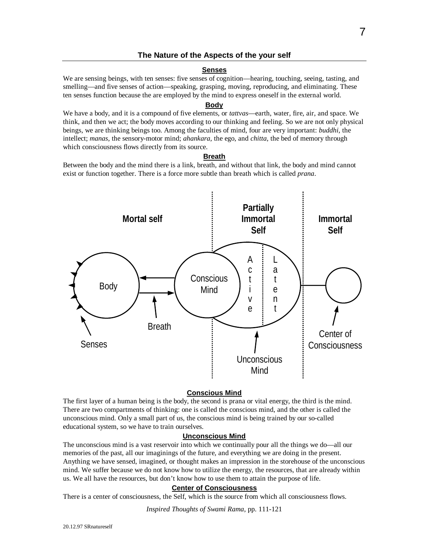### **The Nature of the Aspects of the your self**

#### **Senses**

We are sensing beings, with ten senses: five senses of cognition—hearing, touching, seeing, tasting, and smelling—and five senses of action—speaking, grasping, moving, reproducing, and eliminating. These ten senses function because the are employed by the mind to express oneself in the external world.

#### **Body**

We have a body, and it is a compound of five elements, or *tattvas*—earth, water, fire, air, and space. We think, and then we act; the body moves according to our thinking and feeling. So we are not only physical beings, we are thinking beings too. Among the faculties of mind, four are very important: *buddhi*, the intellect; *manas*, the sensory-motor mind; *ahankara*, the ego, and *chitta*, the bed of memory through which consciousness flows directly from its source.

#### **Breath**

Between the body and the mind there is a link, breath, and without that link, the body and mind cannot exist or function together. There is a force more subtle than breath which is called *prana*.



#### **Conscious Mind**

The first layer of a human being is the body, the second is prana or vital energy, the third is the mind. There are two compartments of thinking: one is called the conscious mind, and the other is called the unconscious mind. Only a small part of us, the conscious mind is being trained by our so-called educational system, so we have to train ourselves.

#### **Unconscious Mind**

The unconscious mind is a vast reservoir into which we continually pour all the things we do—all our memories of the past, all our imaginings of the future, and everything we are doing in the present. Anything we have sensed, imagined, or thought makes an impression in the storehouse of the unconscious mind. We suffer because we do not know how to utilize the energy, the resources, that are already within us. We all have the resources, but don't know how to use them to attain the purpose of life.

#### **Center of Consciousness**

There is a center of consciousness, the Self, which is the source from which all consciousness flows.

*Inspired Thoughts of Swami Rama*, pp. 111-121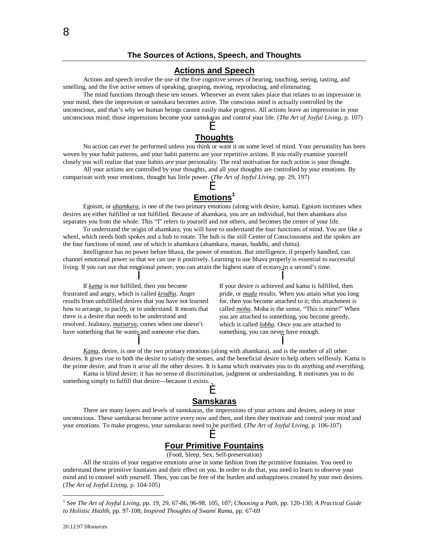#### **The Sources of Actions, Speech, and Thoughts**

### **Actions and Speech**

Actions and speech involve the use of the five cognitive senses of hearing, touching, seeing, tasting, and smelling, and the five active senses of speaking, grasping, moving, reproducing, and eliminating.

The mind functions through these ten senses. Whenever an event takes place that relates to an impression in your mind, then the impression or samskara becomes active. The conscious mind is actually controlled by the unconscious, and that's why we human beings cannot easily make progress. All actions leave an impression in your unconscious mind; those impressions become your samskaras and control your life. (*The Art of Joyful Living*, p. 107)

# é **Thoughts**

No action can ever be performed unless you think or want it on some level of mind. Your personality has been woven by your habit patterns, and your habit patterns are your repetitive actions. If you really examine yourself closely you will realize that your habits *are* your personality. The real motivation for each action is your thought. All your actions are controlled by your thoughts, and all your thoughts are controlled by your emotions. By

comparison with your emotions, thought has little power. (*The Art of Joyful Living*, pp. 29, 197)

# é **Emotions<sup>1</sup>**

Egoism, or *ahamkara*, is one of the two primary emotions (along with desire, kama). Egoism increases when desires are either fulfilled or not fulfilled. Because of ahamkara, you are an individual, but then ahamkara also separates you from the whole. This "I" refers to yourself and not others, and becomes the center of your life.

To understand the origin of ahamkara, you will have to understand the four functions of mind. You are like a wheel, which needs both spokes and a hub to rotate. The hub is the still Center of Consciousness and the spokes are the four functions of mind, one of which is ahamkara (ahamkara, manas, buddhi, and chitta).

Intelligence has no power before bhava, the power of emotion. But intelligence, if properly handled, can channel emotional power so that we can use it positively. Learning to use bhava properly is essential to successful living. If you can use that emotional power, you can attain the highest state of ecstasy in a second's time.

If *kama* is *not* fulfilled, then you become frustrated and angry, which is called *krodha*. Anger results from unfulfilled desires that you have not learned how to arrange, to pacify, or to understand. It means that there is a desire that needs to be understood and resolved. Jealousy, *matsarya*, comes when one doesn't have something that he wants and someone else does.

ì ë If your desire *is* achieved and kama is fulfilled, then pride, or *muda* results. When you attain what you long for, then you become attached to it; this attachment is called *moha*. Moha is the sense, "This is mine!" When you are attached to something, you become greedy, which is called *lobha*. Once you are attached to something, you can never have enough.

# ë ì

*Kama*, desire, is one of the two primary emotions (along with ahamkara), and is the mother of all other desires. It gives rise to both the desire to satisfy the senses, and the beneficial desire to help others selflessly. Kama is the prime desire, and from it arise all the other desires. It is kama which motivates you to do anything and everything.

Kama is blind desire; it has no sense of discrimination, judgment or understanding. It motivates you to do something simply to fulfill that desire—because it exists.

# é **Samskaras**

There are many layers and levels of samskaras, the impressions of your actions and desires, asleep in your unconscious. These samskaras become active every now and then, and then they motivate and control your mind and your emotions. To make progress, your samskaras need to be purified. (*The Art of Joyful Living*, p. 106-107)

# é **Four Primitive Fountains**

#### (Food, Sleep, Sex, Self-preservation)

All the strains of your negative emotions arise in some fashion from the primitive fountains. You need to understand these primitive fountains and their effect on you. In order to do that, you need to learn to observe your mind and to counsel with yourself. Then, you can be free of the burden and unhappiness created by your own desires. (*The Art of Joyful Living*, p. 104-105)

 $\overline{a}$ 

<sup>1</sup> See *The Art of Joyful Living*, pp. 19, 29, 67-86, 96-98, 105, 107; *Choosing a Path*, pp. 120-130; *A Practical Guide to Holistic Health*, pp. 97-108; *Inspired Thoughts of Swami Rama*, pp. 67-69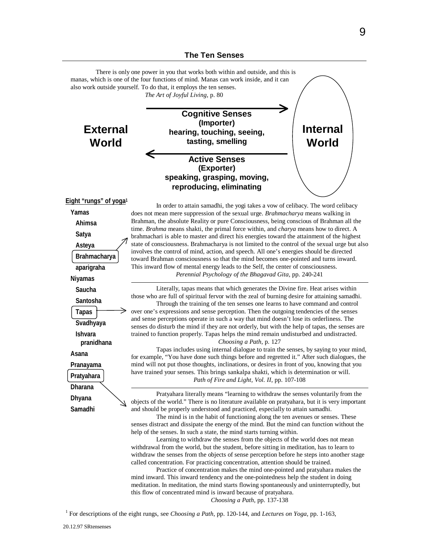

meditation. In meditation, the mind starts flowing spontaneously and uninterruptedly, but this flow of concentrated mind is inward because of pratyahara.

*Choosing a Path*, pp. 137-138

1 For descriptions of the eight rungs, see *Choosing a Path*, pp. 120-144, and *Lectures on Yoga*, pp. 1-163,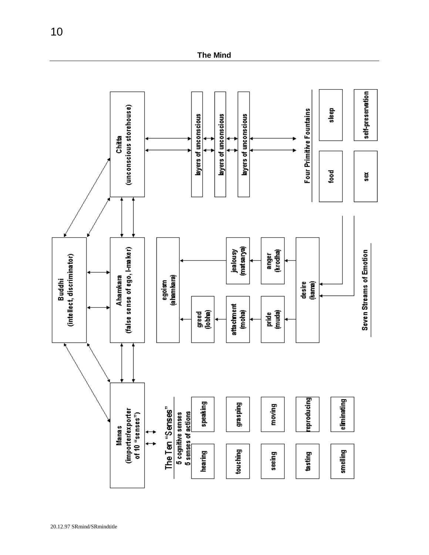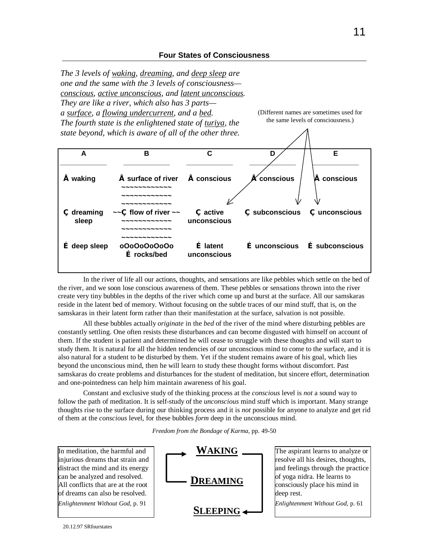*The 3 levels of waking, dreaming, and deep sleep are one and the same with the 3 levels of consciousness conscious, active unconscious, and latent unconscious. They are like a river, which also has 3 parts a surface, a flowing undercurrent, and a bed. The fourth state is the enlightened state of turiya, the state beyond, which is aware of all of the other three.* 

(Different names are sometimes used for the same levels of consciousness.)



In the river of life all our actions, thoughts, and sensations are like pebbles which settle on the bed of the river, and we soon lose conscious awareness of them. These pebbles or sensations thrown into the river create very tiny bubbles in the depths of the river which come up and burst at the surface. All our samskaras reside in the latent bed of memory. Without focusing on the subtle traces of our mind stuff, that is, on the samskaras in their latent form rather than their manifestation at the surface, salvation is not possible.

All these bubbles actually *originate* in the *bed* of the river of the mind where disturbing pebbles are constantly settling. One often resists these disturbances and can become disgusted with himself on account of them. If the student is patient and determined he will cease to struggle with these thoughts and will start to study them. It is natural for all the hidden tendencies of our unconscious mind to come to the surface, and it is also natural for a student to be disturbed by them. Yet if the student remains aware of his goal, which lies beyond the unconscious mind, then he will learn to study these thought forms without discomfort. Past samskaras do create problems and disturbances for the student of meditation, but sincere effort, determination and one-pointedness can help him maintain awareness of his goal.

Constant and exclusive study of the thinking process at the *conscious* level is *not* a sound way to follow the path of meditation. It is self-study of the *unconscious* mind stuff which is important. Many strange thoughts rise to the surface during our thinking process and it is *not* possible for anyone to analyze and get rid of them at the *conscious* level, for these bubbles *form* deep in the unconscious mind.

*Freedom from the Bondage of Karma*, pp. 49-50

In meditation, the harmful and injurious dreams that strain and distract the mind and its energy can be analyzed and resolved. All conflicts that are at the root of dreams can also be resolved. *Enlightenment Without God*, p. 91



The aspirant learns to analyze or resolve all his desires, thoughts, and feelings through the practice of yoga nidra. He learns to consciously place his mind in deep rest.

*Enlightenment Without God*, p. 61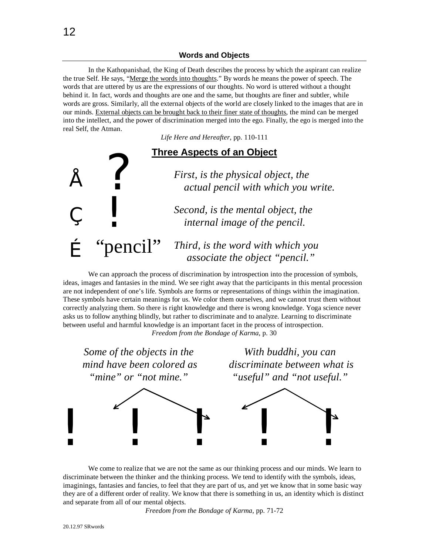In the Kathopanishad, the King of Death describes the process by which the aspirant can realize the true Self. He says, "Merge the words into thoughts." By words he means the power of speech. The words that are uttered by us are the expressions of our thoughts. No word is uttered without a thought behind it. In fact, words and thoughts are one and the same, but thoughts are finer and subtler, while words are gross. Similarly, all the external objects of the world are closely linked to the images that are in our minds. External objects can be brought back to their finer state of thoughts, the mind can be merged into the intellect, and the power of discrimination merged into the ego. Finally, the ego is merged into the real Self, the Atman.

*Life Here and Hereafter*, pp. 110-111



We can approach the process of discrimination by introspection into the procession of symbols, ideas, images and fantasies in the mind. We see right away that the participants in this mental procession are not independent of one's life. Symbols are forms or representations of things within the imagination. These symbols have certain meanings for us. We color them ourselves, and we cannot trust them without correctly analyzing them. So there is right knowledge and there is wrong knowledge. Yoga science never asks us to follow anything blindly, but rather to discriminate and to analyze. Learning to discriminate between useful and harmful knowledge is an important facet in the process of introspection. *Freedom from the Bondage of Karma*, p. 30

!!!!! *Some of the objects in the mind have been colored as "mine" or "not mine." With buddhi, you can discriminate between what is "useful" and "not useful."* 

We come to realize that we are not the same as our thinking process and our minds. We learn to discriminate between the thinker and the thinking process. We tend to identify with the symbols, ideas, imaginings, fantasies and fancies, to feel that they are part of us, and yet we know that in some basic way they are of a different order of reality. We know that there is something in us, an identity which is distinct and separate from all of our mental objects.

*Freedom from the Bondage of Karma*, pp. 71-72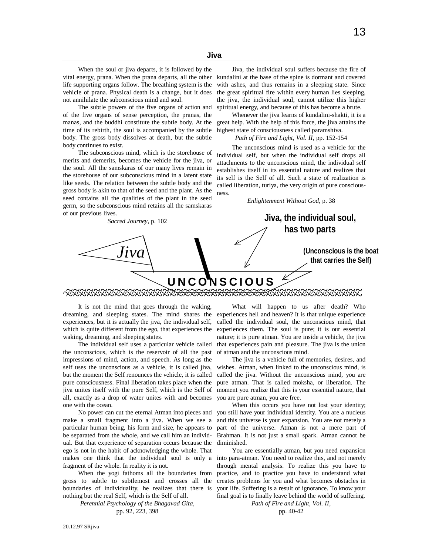When the soul or jiva departs, it is followed by the vital energy, prana. When the prana departs, all the other life supporting organs follow. The breathing system is the vehicle of prana. Physical death is a change, but it does not annihilate the subconscious mind and soul.

The subtle powers of the five organs of action and of the five organs of sense perception, the pranas, the manas, and the buddhi constitute the subtle body. At the time of its rebirth, the soul is accompanied by the subtle body. The gross body dissolves at death, but the subtle body continues to exist.

The subconscious mind, which is the storehouse of merits and demerits, becomes the vehicle for the jiva, or the soul. All the samskaras of our many lives remain in the storehouse of our subconscious mind in a latent state like seeds. The relation between the subtle body and the gross body is akin to that of the seed and the plant. As the seed contains all the qualities of the plant in the seed germ, so the subconscious mind retains all the samskaras of our previous lives.

Jiva, the individual soul suffers because the fire of kundalini at the base of the spine is dormant and covered with ashes, and thus remains in a sleeping state. Since the great spiritual fire within every human lies sleeping, the jiva, the individual soul, cannot utilize this higher spiritual energy, and because of this has become a brute.

Whenever the jiva learns of kundalini-shakti, it is a great help. With the help of this force, the jiva attains the highest state of consciousness called paramshiva.

*Path of Fire and Light, Vol. II*, pp. 152-154

The unconscious mind is used as a vehicle for the individual self, but when the individual self drops all attachments to the unconscious mind, the individual self establishes itself in its essential nature and realizes that its self is the Self of all. Such a state of realization is called liberation, turiya, the very origin of pure consciousness.

*Enlightenment Without God*, p. 38



It is not the mind that goes through the waking, dreaming, and sleeping states. The mind shares the experiences, but it is actually the jiva, the individual self, which is quite different from the ego, that experiences the waking, dreaming, and sleeping states.

The individual self uses a particular vehicle called the unconscious, which is the reservoir of all the past impressions of mind, action, and speech. As long as the self uses the unconscious as a vehicle, it is called jiva, but the moment the Self renounces the vehicle, it is called pure consciousness. Final liberation takes place when the jiva unites itself with the pure Self, which is the Self of all, exactly as a drop of water unites with and becomes one with the ocean.

No power can cut the eternal Atman into pieces and make a small fragment into a jiva. When we see a particular human being, his form and size, he appears to be separated from the whole, and we call him an individual. But that experience of separation occurs because the ego is not in the habit of acknowledging the whole. That makes one think that the individual soul is only a fragment of the whole. In reality it is not.

When the yogi fathoms all the boundaries from gross to subtle to subtlemost and crosses all the boundaries of individuality, he realizes that there is nothing but the real Self, which is the Self of all.

> *Perennial Psychology of the Bhagavad Gita*, pp. 92, 223, 398

What will happen to us after death? Who experiences hell and heaven? It is that unique experience called the individual soul, the unconscious mind, that experiences them. The soul is pure; it is our essential nature; it is pure atman. You are inside a vehicle, the jiva that experiences pain and pleasure. The jiva is the union of atman and the unconscious mind.

The jiva is a vehicle full of memories, desires, and wishes. Atman, when linked to the unconscious mind, is called the jiva. Without the unconscious mind, you are pure atman. That is called moksha, or liberation. The moment you realize that this is your essential nature, that you are pure atman, you are free.

When this occurs you have not lost your identity; you still have your individual identity. You are a nucleus and this universe is your expansion. You are not merely a part of the universe. Atman is not a mere part of Brahman. It is not just a small spark. Atman cannot be diminished.

You are essentially atman, but you need expansion into para-atman. You need to realize this, and not merely through mental analysis. To realize this you have to practice, and to practice you have to understand what creates problems for you and what becomes obstacles in your life. Suffering is a result of ignorance. To know your final goal is to finally leave behind the world of suffering.

*Path of Fire and Light, Vol. II*,

pp. 40-42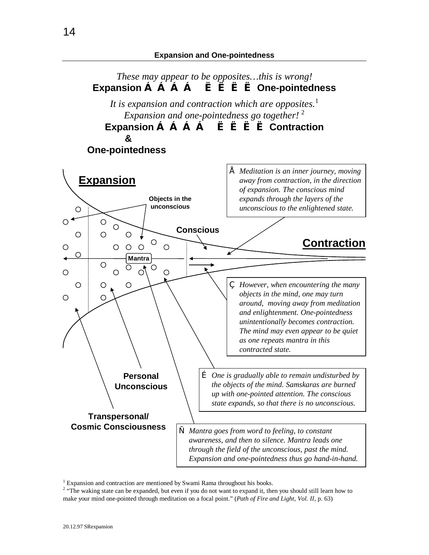

 $1$  Expansion and contraction are mentioned by Swami Rama throughout his books.

<sup>&</sup>lt;sup>2</sup> "The waking state can be expanded, but even if you do not want to expand it, then you should still learn how to make your mind one-pointed through meditation on a focal point." (*Path of Fire and Light, Vol. II*, p. 63)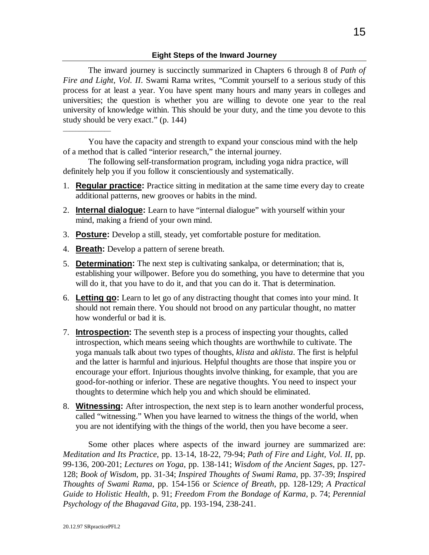The inward journey is succinctly summarized in Chapters 6 through 8 of *Path of Fire and Light, Vol. II*. Swami Rama writes, "Commit yourself to a serious study of this process for at least a year. You have spent many hours and many years in colleges and universities; the question is whether you are willing to devote one year to the real university of knowledge within. This should be your duty, and the time you devote to this study should be very exact." (p. 144)

You have the capacity and strength to expand your conscious mind with the help of a method that is called "interior research," the internal journey.

The following self-transformation program, including yoga nidra practice, will definitely help you if you follow it conscientiously and systematically.

- 1. **Regular practice:** Practice sitting in meditation at the same time every day to create additional patterns, new grooves or habits in the mind.
- 2. **Internal dialogue:** Learn to have "internal dialogue" with yourself within your mind, making a friend of your own mind.
- 3. **Posture:** Develop a still, steady, yet comfortable posture for meditation.
- 4. **Breath:** Develop a pattern of serene breath.

\_\_\_\_\_\_\_\_\_\_\_\_\_\_\_

- 5. **Determination:** The next step is cultivating sankalpa, or determination; that is, establishing your willpower. Before you do something, you have to determine that you will do it, that you have to do it, and that you can do it. That is determination.
- 6. **Letting go:** Learn to let go of any distracting thought that comes into your mind. It should not remain there. You should not brood on any particular thought, no matter how wonderful or bad it is.
- 7. **Introspection:** The seventh step is a process of inspecting your thoughts, called introspection, which means seeing which thoughts are worthwhile to cultivate. The yoga manuals talk about two types of thoughts, *klista* and *aklista*. The first is helpful and the latter is harmful and injurious. Helpful thoughts are those that inspire you or encourage your effort. Injurious thoughts involve thinking, for example, that you are good-for-nothing or inferior. These are negative thoughts. You need to inspect your thoughts to determine which help you and which should be eliminated.
- 8. **Witnessing:** After introspection, the next step is to learn another wonderful process, called "witnessing." When you have learned to witness the things of the world, when you are not identifying with the things of the world, then you have become a seer.

Some other places where aspects of the inward journey are summarized are: *Meditation and Its Practice*, pp. 13-14, 18-22, 79-94; *Path of Fire and Light, Vol. II*, pp. 99-136, 200-201; *Lectures on Yoga*, pp. 138-141; *Wisdom of the Ancient Sages*, pp. 127- 128; *Book of Wisdom*, pp. 31-34; *Inspired Thoughts of Swami Rama*, pp. 37-39; *Inspired Thoughts of Swami Rama*, pp. 154-156 or *Science of Breath*, pp. 128-129; *A Practical Guide to Holistic Health*, p. 91; *Freedom From the Bondage of Karma*, p. 74; *Perennial Psychology of the Bhagavad Gita*, pp. 193-194, 238-241.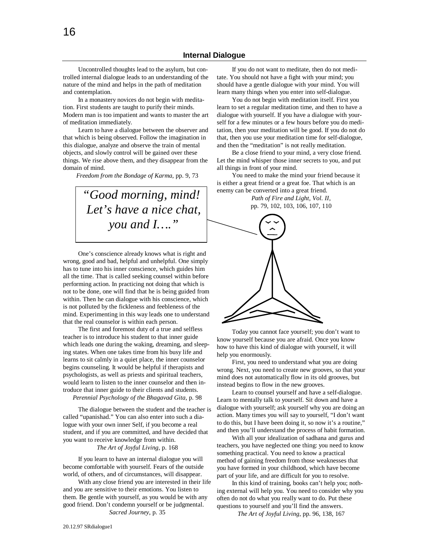Uncontrolled thoughts lead to the asylum, but controlled internal dialogue leads to an understanding of the nature of the mind and helps in the path of meditation and contemplation.

In a monastery novices do not begin with meditation. First students are taught to purify their minds. Modern man is too impatient and wants to master the art of meditation immediately.

Learn to have a dialogue between the observer and that which is being observed. Follow the imagination in this dialogue, analyze and observe the train of mental objects, and slowly control will be gained over these things. We rise above them, and they disappear from the domain of mind.

*Freedom from the Bondage of Karma*, pp. 9, 73



One's conscience already knows what is right and wrong, good and bad, helpful and unhelpful. One simply has to tune into his inner conscience, which guides him all the time. That is called seeking counsel within before performing action. In practicing not doing that which is not to be done, one will find that he is being guided from within. Then he can dialogue with his conscience, which is not polluted by the fickleness and feebleness of the mind. Experimenting in this way leads one to understand that the real counselor is within each person.

The first and foremost duty of a true and selfless teacher is to introduce his student to that inner guide which leads one during the waking, dreaming, and sleeping states. When one takes time from his busy life and learns to sit calmly in a quiet place, the inner counselor begins counseling. It would be helpful if therapists and psychologists, as well as priests and spiritual teachers, would learn to listen to the inner counselor and then introduce that inner guide to their clients and students. *Perennial Psychology of the Bhagavad Gita*, p. 98

The dialogue between the student and the teacher is called "upanishad." You can also enter into such a dialogue with your own inner Self, if you become a real student, and if you are committed, and have decided that you want to receive knowledge from within. *The Art of Joyful Living*, p. 168

If you learn to have an internal dialogue you will become comfortable with yourself. Fears of the outside

world, of others, and of circumstances, will disappear. With any close friend you are interested in their life and you are sensitive to their emotions. You listen to them. Be gentle with yourself, as you would be with any good friend. Don't condemn yourself or be judgmental.

*Sacred Journey*, p. 35

If you do not want to meditate, then do not meditate. You should not have a fight with your mind; you should have a gentle dialogue with your mind. You will learn many things when you enter into self-dialogue.

You do not begin with meditation itself. First you learn to set a regular meditation time, and then to have a dialogue with yourself. If you have a dialogue with yourself for a few minutes or a few hours before you do meditation, then your meditation will be good. If you do not do that, then you use your meditation time for self-dialogue, and then the "meditation" is not really meditation.

Be a close friend to your mind, a very close friend. Let the mind whisper those inner secrets to you, and put all things in front of your mind.

You need to make the mind your friend because it is either a great friend or a great foe. That which is an enemy can be converted into a great friend.

> *Path of Fire and Light, Vol. II*, pp. 79, 102, 103, 106, 107, 110



Today you cannot face yourself; you don't want to know yourself because you are afraid. Once you know how to have this kind of dialogue with yourself, it will help you enormously.

First, you need to understand what you are doing wrong. Next, you need to create new grooves, so that your mind does not automatically flow in its old grooves, but instead begins to flow in the new grooves.

Learn to counsel yourself and have a self-dialogue. Learn to mentally talk to yourself. Sit down and have a dialogue with yourself; ask yourself why you are doing an action. Many times you will say to yourself, "I don't want to do this, but I have been doing it, so now it's a routine," and then you'll understand the process of habit formation.

With all your idealization of sadhana and gurus and teachers, you have neglected one thing: you need to know something practical. You need to know a practical method of gaining freedom from those weaknesses that you have formed in your childhood, which have become part of your life, and are difficult for you to resolve.

In this kind of training, books can't help you; nothing external will help you. You need to consider why you often do not do what you really want to do. Put these questions to yourself and you'll find the answers.

*The Art of Joyful Living*, pp. 96, 138, 167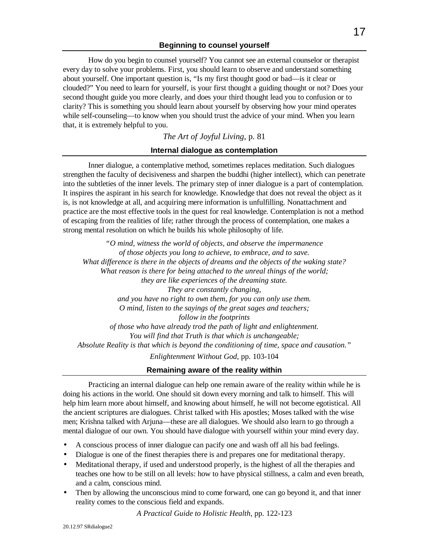How do you begin to counsel yourself? You cannot see an external counselor or therapist every day to solve your problems. First, you should learn to observe and understand something about yourself. One important question is, "Is my first thought good or bad—is it clear or clouded?" You need to learn for yourself, is your first thought a guiding thought or not? Does your second thought guide you more clearly, and does your third thought lead you to confusion or to clarity? This is something you should learn about yourself by observing how your mind operates while self-counseling—to know when you should trust the advice of your mind. When you learn that, it is extremely helpful to you.

*The Art of Joyful Living*, p. 81

# **Internal dialogue as contemplation**

Inner dialogue, a contemplative method, sometimes replaces meditation. Such dialogues strengthen the faculty of decisiveness and sharpen the buddhi (higher intellect), which can penetrate into the subtleties of the inner levels. The primary step of inner dialogue is a part of contemplation. It inspires the aspirant in his search for knowledge. Knowledge that does not reveal the object as it is, is not knowledge at all, and acquiring mere information is unfulfilling. Nonattachment and practice are the most effective tools in the quest for real knowledge. Contemplation is not a method of escaping from the realities of life; rather through the process of contemplation, one makes a strong mental resolution on which he builds his whole philosophy of life.

*"O mind, witness the world of objects, and observe the impermanence of those objects you long to achieve, to embrace, and to save. What difference is there in the objects of dreams and the objects of the waking state? What reason is there for being attached to the unreal things of the world; they are like experiences of the dreaming state. They are constantly changing, and you have no right to own them, for you can only use them. O mind, listen to the sayings of the great sages and teachers; follow in the footprints of those who have already trod the path of light and enlightenment. You will find that Truth is that which is unchangeable; Absolute Reality is that which is beyond the conditioning of time, space and causation." Enlightenment Without God*, pp. 103-104

**Remaining aware of the reality within** 

Practicing an internal dialogue can help one remain aware of the reality within while he is doing his actions in the world. One should sit down every morning and talk to himself. This will help him learn more about himself, and knowing about himself, he will not become egotistical. All the ancient scriptures are dialogues. Christ talked with His apostles; Moses talked with the wise men; Krishna talked with Arjuna—these are all dialogues. We should also learn to go through a mental dialogue of our own. You should have dialogue with yourself within your mind every day.

- A conscious process of inner dialogue can pacify one and wash off all his bad feelings.
- Dialogue is one of the finest therapies there is and prepares one for meditational therapy.
- Meditational therapy, if used and understood properly, is the highest of all the therapies and teaches one how to be still on all levels: how to have physical stillness, a calm and even breath, and a calm, conscious mind.
- Then by allowing the unconscious mind to come forward, one can go beyond it, and that inner reality comes to the conscious field and expands.

*A Practical Guide to Holistic Health*, pp. 122-123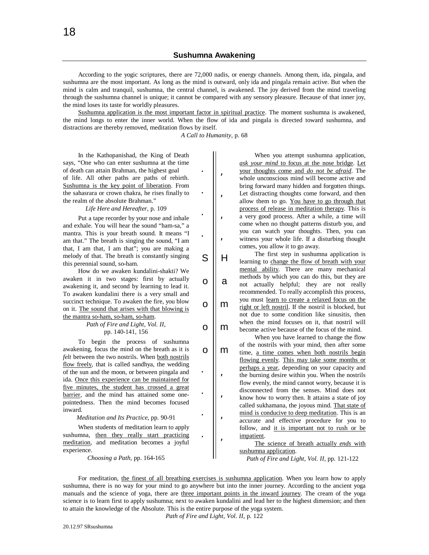According to the yogic scriptures, there are 72,000 nadis, or energy channels. Among them, ida, pingala, and sushumna are the most important. As long as the mind is outward, only ida and pingala remain active. But when the mind is calm and tranquil, sushumna, the central channel, is awakened. The joy derived from the mind traveling through the sushumna channel is unique; it cannot be compared with any sensory pleasure. Because of that inner joy, the mind loses its taste for worldly pleasures.

Sushumna application is the most important factor in spiritual practice. The moment sushumna is awakened, the mind longs to enter the inner world. When the flow of ida and pingala is directed toward sushumna, and distractions are thereby removed, meditation flows by itself.

*A Call to Humanity*, p. 68

á

á

á

á

S

o

o

o

o

á

á

á

á

â

â

â

â

H

a

m

m

m

â

â

â

â

In the Kathopanishad, the King of Death says, "One who can enter sushumna at the time of death can attain Brahman, the highest goal of life. All other paths are paths of rebirth. Sushumna is the key point of liberation. From the sahasrara or crown chakra, he rises finally to the realm of the absolute Brahman."

#### *Life Here and Hereafter*, p. 109

Put a tape recorder by your nose and inhale and exhale. You will hear the sound "ham-sa," a mantra. This is your breath sound. It means "I am that." The breath is singing the sound, "I am that, I am that, I am that"; you are making a melody of that. The breath is constantly singing this perennial sound, so-ham.

How do we awaken kundalini-shakti? We awaken it in two stages: first by actually awakening it, and second by learning to lead it. To awaken kundalini there is a very small and succinct technique. To awaken the fire, you blow on it. The sound that arises with that blowing is the mantra so-ham, so-ham, so-ham.

#### *Path of Fire and Light, Vol. II*, pp. 140-141, 156

To begin the process of sushumna awakening, focus the mind on the breath as it is *felt* between the two nostrils. When both nostrils flow freely, that is called sandhya, the wedding of the sun and the moon, or between pingala and ida. Once this experience can be maintained for five minutes, the student has crossed a great barrier, and the mind has attained some onepointedness. Then the mind becomes focused inward.

#### *Meditation and Its Practice*, pp. 90-91

When students of meditation learn to apply sushumna, then they really start practicing meditation, and meditation becomes a joyful experience.

*Choosing a Path*, pp. 164-165

When you attempt sushumna application, *ask your mind* to focus at the nose bridge. Let your thoughts come and *do not be afraid*. The whole unconscious mind will become active and bring forward many hidden and forgotten things. Let distracting thoughts come forward, and then allow them to go. You have to go through that process of release in meditation therapy. This is a very good process. After a while, a time will come when no thought patterns disturb you, and you can watch your thoughts. Then, you can witness your whole life. If a disturbing thought comes, you allow it to go away.

The first step in sushumna application is learning to change the flow of breath with your mental ability. There are many mechanical methods by which you can do this, but they are not actually helpful; they are not really recommended. To really accomplish this process, you must learn to create a relaxed focus on the right or left nostril. If the nostril is blocked, but not due to some condition like sinusitis, then when the mind focuses on it, that nostril will become active because of the focus of the mind.

When you have learned to change the flow of the nostrils with your mind, then after some time, a time comes when both nostrils begin flowing evenly. This may take some months or perhaps a year, depending on your capacity and the burning desire within you. When the nostrils flow evenly, the mind cannot worry, because it is disconnected from the senses. Mind does not know how to worry then. It attains a state of joy called sukhamana, the joyous mind. That state of mind is conducive to deep meditation. This is an accurate and effective procedure for you to follow, and it is important not to rush or be impatient.

The science of breath actually *ends* with sushumna application.

*Path of Fire and Light, Vol. II*, pp. 121-122

For meditation, the finest of all breathing exercises is sushumna application. When you learn how to apply sushumna, there is no way for your mind to go anywhere but into the inner journey. According to the ancient yoga manuals and the science of yoga, there are three important points in the inward journey. The cream of the yoga science is to learn first to apply sushumna; next to awaken kundalini and lead her to the highest dimension; and then to attain the knowledge of the Absolute. This is the entire purpose of the yoga system.

*Path of Fire and Light, Vol. II*, p. 122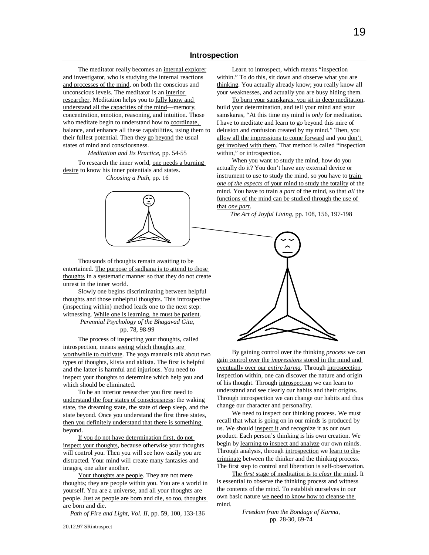The meditator really becomes an internal explorer and investigator, who is studying the internal reactions and processes of the mind, on both the conscious and unconscious levels. The meditator is an interior researcher. Meditation helps you to fully know and understand all the capacities of the mind—memory, concentration, emotion, reasoning, and intuition. Those who meditate begin to understand how to coordinate, balance, and enhance all these capabilities, using them to their fullest potential. Then they go beyond the usual states of mind and consciousness.

*Meditation and Its Practice*, pp. 54-55

To research the inner world, one needs a burning desire to know his inner potentials and states. *Choosing a Path*, pp. 16



Thousands of thoughts remain awaiting to be entertained. The purpose of sadhana is to attend to those thoughts in a systematic manner so that they do not create unrest in the inner world.

Slowly one begins discriminating between helpful thoughts and those unhelpful thoughts. This introspective (inspecting within) method leads one to the next step: witnessing. While one is learning, he must be patient.

*Perennial Psychology of the Bhagavad Gita*, pp. 78, 98-99

The process of inspecting your thoughts, called introspection, means seeing which thoughts are worthwhile to cultivate. The yoga manuals talk about two types of thoughts, klista and aklista. The first is helpful and the latter is harmful and injurious. You need to inspect your thoughts to determine which help you and which should be eliminated.

To be an interior researcher you first need to understand the four states of consciousness: the waking state, the dreaming state, the state of deep sleep, and the state beyond. Once you understand the first three states, then you definitely understand that there is something beyond.

If you do not have determination first, do not inspect your thoughts, because otherwise your thoughts will control you. Then you will see how easily you are distracted. Your mind will create many fantasies and images, one after another.

Your thoughts are people. They are not mere thoughts; they are people within you. You are a world in yourself. You are a universe, and all your thoughts are people. Just as people are born and die, so too, thoughts are born and die.

*Path of Fire and Light, Vol. II*, pp. 59, 100, 133-136

Learn to introspect, which means "inspection within." To do this, sit down and observe what you are thinking. You actually already know; you really know all your weaknesses, and actually you are busy hiding them.

To burn your samskaras, you sit in deep meditation, build your determination, and tell your mind and your samskaras, "At this time my mind is *only* for meditation. I have to meditate and learn to go beyond this mire of delusion and confusion created by my mind." Then, you allow all the impressions to come forward and you don't get involved with them. That method is called "inspection within," or introspection.

When you want to study the mind, how do you actually do it? You don't have any external device or instrument to use to study the mind, so you have to train *one of the aspects* of your mind to study the totality of the mind. You have to train a *part* of the mind, so that *all* the functions of the mind can be studied through the use of that *one part*.

*The Art of Joyful Living*, pp. 108, 156, 197-198



By gaining control over the thinking *process* we can gain control over the *impressions* stored in the mind and eventually over our *entire karma*. Through introspection, inspection within, one can discover the nature and origin of his thought. Through introspection we can learn to understand and see clearly our habits and their origins. Through introspection we can change our habits and thus change our character and personality.

We need to inspect our thinking process. We must recall that what is going on in our minds is produced by us. We should inspect it and recognize it as our own product. Each person's thinking is his own creation. We begin by learning to inspect and analyze our own minds. Through analysis, through introspection we learn to discriminate between the thinker and the thinking process. The first step to control and liberation is self-observation.

The *first* stage of meditation is to *clear* the mind. It is essential to observe the thinking process and witness the contents of the mind. To establish ourselves in our own basic nature we need to know how to cleanse the mind.

> *Freedom from the Bondage of Karma*, pp. 28-30, 69-74

19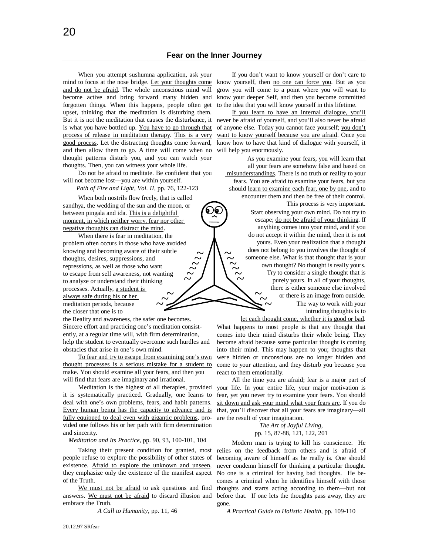~~~

 $~\mathcal{Z}$ 

 $\mathfrak{d}(6)$ 

 $\frac{1}{2}$  $\frac{1}{2}$ 

 $\frac{1}{2}$ 

 $\frac{2}{\lambda}$  $\frac{2}{\alpha}$ 

 $\frac{1}{2}$ 

When you attempt sushumna application, ask your mind to focus at the nose bridge. Let your thoughts come know yourself, then no one can force you. But as you and do not be afraid. The whole unconscious mind will become active and bring forward many hidden and forgotten things. When this happens, people often get upset, thinking that the meditation is disturbing them. But it is not the meditation that causes the disturbance, it never be afraid of yourself, and you'll also never be afraid is what you have bottled up. You have to go through that process of release in meditation therapy. This is a very good process. Let the distracting thoughts come forward, and then allow them to go. A time will come when no thought patterns disturb you, and you can watch your thoughts. Then, you can witness your whole life.

Do not be afraid to meditate. Be confident that you will not become lost—you are within yourself.

*Path of Fire and Light, Vol. II*, pp. 76, 122-123

When both nostrils flow freely, that is called sandhya, the wedding of the sun and the moon, or between pingala and ida. This is a delightful moment, in which neither worry, fear nor other negative thoughts can distract the mind.

~~~<br>~~~ When there is fear in meditation, the problem often occurs in those who have avoided knowing and becoming aware of their subtle thoughts, desires, suppressions, and repressions, as well as those who want to escape from self awareness, not wanting to analyze or understand their thinking processes. Actually, a student is always safe during his or her meditation periods, because the closer that one is to

the Reality and awareness, the safer one becomes. Sincere effort and practicing one's meditation consistently, at a regular time will, with firm determination, help the student to eventually overcome such hurdles and obstacles that arise in one's own mind.

To fear and try to escape from examining one's own thought processes is a serious mistake for a student to make. You should examine all your fears, and then you will find that fears are imaginary and irrational.

Meditation is the highest of all therapies, provided it is systematically practiced. Gradually, one learns to deal with one's own problems, fears, and habit patterns. Every human being has the capacity to advance and is fully equipped to deal even with gigantic problems, provided one follows his or her path with firm determination and sincerity.

#### *Meditation and Its Practice*, pp. 90, 93, 100-101, 104

Taking their present condition for granted, most people refuse to explore the possibility of other states of existence. Afraid to explore the unknown and unseen, they emphasize only the existence of the manifest aspect of the Truth.

We must not be afraid to ask questions and find answers. We must not be afraid to discard illusion and embrace the Truth.

*A Call to Humanity*, pp. 11, 46

If you don't want to know yourself or don't care to grow you will come to a point where you will want to know your deeper Self, and then you become committed to the idea that you will know yourself in this lifetime.

If you learn to have an internal dialogue, you'll of anyone else. Today you cannot face yourself; you don't want to know yourself because you are afraid. Once you know how to have that kind of dialogue with yourself, it will help you enormously.

As you examine your fears, you will learn that all your fears are somehow false and based on misunderstandings. There is no truth or reality to your fears. You are afraid to examine your fears, but you should learn to examine each fear, one by one, and to encounter them and then be free of their control. This process is very important.

> ~~~~<br>~~~ Start observing your own mind. Do not try to escape; do not be afraid of your thinking. If anything comes into your mind, and if you do not accept it within the mind, then it is not yours. Even your realization that a thought does not belong to you involves the thought of someone else. What is that thought that is your own thought? No thought is really yours. Try to consider a single thought that is purely yours. In all of your thoughts, there is either someone else involved or there is an image from outside. The way to work with your intruding thoughts is to

 let each thought come, whether it is good or bad. What happens to most people is that any thought that comes into their mind disturbs their whole being. They become afraid because some particular thought is coming into their mind. This may happen to you; thoughts that were hidden or unconscious are no longer hidden and come to your attention, and they disturb you because you react to them emotionally.

All the time you are afraid; fear is a major part of your life. In your entire life, your major motivation is fear, yet you never try to examine your fears. You should sit down and ask your mind what your fears are. If you do that, you'll discover that all your fears are imaginary—all are the result of your imagination.

#### *The Art of Joyful Living*, pp. 15, 87-88, 121, 122, 201

Modern man is trying to kill his conscience. He relies on the feedback from others and is afraid of becoming aware of himself as he really is. One should never condemn himself for thinking a particular thought. No one is a criminal for having bad thoughts. He becomes a criminal when he identifies himself with those thoughts and starts acting according to them—but not before that. If one lets the thoughts pass away, they are gone.

*A Practical Guide to Holistic Health*, pp. 109-110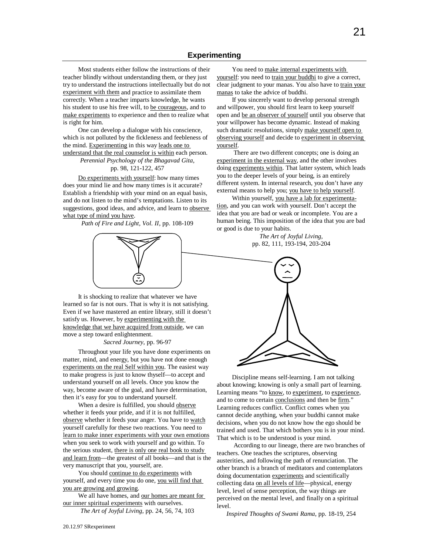#### **Experimenting**

Most students either follow the instructions of their teacher blindly without understanding them, or they just try to understand the instructions intellectually but do not experiment with them and practice to assimilate them correctly. When a teacher imparts knowledge, he wants his student to use his free will, to be courageous, and to make experiments to experience and then to realize what is right for him.

One can develop a dialogue with his conscience, which is not polluted by the fickleness and feebleness of the mind. Experimenting in this way leads one to understand that the real counselor is within each person.

*Perennial Psychology of the Bhagavad Gita*,

#### pp. 98, 121-122, 457

Do experiments with yourself: how many times does your mind lie and how many times is it accurate? Establish a friendship with your mind on an equal basis, and do not listen to the mind's temptations. Listen to its suggestions, good ideas, and advice, and learn to observe what type of mind you have.

*Path of Fire and Light, Vol. II*, pp. 108-109



It is shocking to realize that whatever we have learned so far is not ours. That is why it is not satisfying. Even if we have mastered an entire library, still it doesn't satisfy us. However, by experimenting with the knowledge that we have acquired from outside, we can move a step toward enlightenment.

#### *Sacred Journey*, pp. 96-97

Throughout your life you have done experiments on matter, mind, and energy, but you have not done enough experiments on the real Self within you. The easiest way to make progress is just to know thyself—to accept and understand yourself on all levels. Once you know the way, become aware of the goal, and have determination, then it's easy for you to understand yourself.

When a desire is fulfilled, you should observe whether it feeds your pride, and if it is not fulfilled, observe whether it feeds your anger. You have to watch yourself carefully for these two reactions. You need to learn to make inner experiments with your own emotions when you seek to work with yourself and go within. To the serious student, there is only one real book to study and learn from—the greatest of all books—and that is the very manuscript that you, yourself, are.

You should continue to do experiments with yourself, and every time you do one, you will find that you are growing and growing.

We all have homes, and our homes are meant for our inner spiritual experiments with ourselves. *The Art of Joyful Living*, pp. 24, 56, 74, 103

You need to make internal experiments with yourself: you need to train your buddhi to give a correct, clear judgment to your manas. You also have to train your manas to take the advice of buddhi.

If you sincerely want to develop personal strength and willpower, you should first learn to keep yourself open and be an observer of yourself until you observe that your willpower has become dynamic. Instead of making such dramatic resolutions, simply make yourself open to observing yourself and decide to experiment in observing yourself.

There are two different concepts; one is doing an experiment in the external way, and the other involves doing experiments within. That latter system, which leads you to the deeper levels of your being, is an entirely different system. In internal research, you don't have any external means to help you; you have to help yourself.

Within yourself, you have a lab for experimentation, and you can work with yourself. Don't accept the idea that you are bad or weak or incomplete. You are a human being. This imposition of the idea that you are bad or good is due to your habits.

> *The Art of Joyful Living*, pp. 82, 111, 193-194, 203-204



Discipline means self-learning. I am not talking about knowing; knowing is only a small part of learning. Learning means "to know, to experiment, to experience, and to come to certain conclusions and then be firm." Learning reduces conflict. Conflict comes when you cannot decide anything, when your buddhi cannot make decisions, when you do not know how the ego should be trained and used. That which bothers you is in your mind. That which is to be understood is your mind.

According to our lineage, there are two branches of teachers. One teaches the scriptures, observing austerities, and following the path of renunciation. The other branch is a branch of meditators and contemplators doing documentation experiments and scientifically collecting data on all levels of life-physical, energy level, level of sense perception, the way things are perceived on the mental level, and finally on a spiritual level.

*Inspired Thoughts of Swami Rama*, pp. 18-19, 254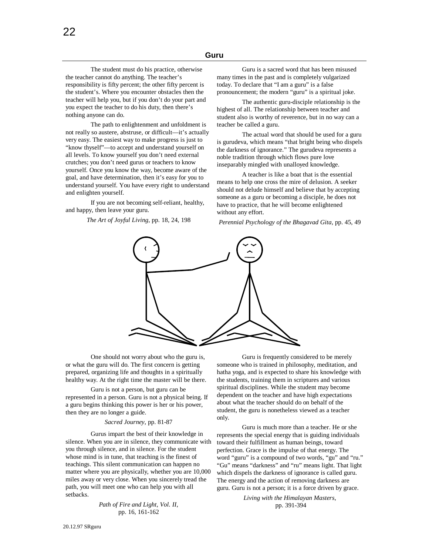The student must do his practice, otherwise the teacher cannot do anything. The teacher's responsibility is fifty percent; the other fifty percent is the student's. Where you encounter obstacles then the teacher will help you, but if you don't do your part and you expect the teacher to do his duty, then there's nothing anyone can do.

The path to enlightenment and unfoldment is not really so austere, abstruse, or difficult—it's actually very easy. The easiest way to make progress is just to "know thyself"—to accept and understand yourself on all levels. To know yourself you don't need external crutches; you don't need gurus or teachers to know yourself. Once you know the way, become aware of the goal, and have determination, then it's easy for you to understand yourself. You have every right to understand and enlighten yourself.

If you are not becoming self-reliant, healthy, and happy, then leave your guru.

*The Art of Joyful Living*, pp. 18, 24, 198

Guru is a sacred word that has been misused many times in the past and is completely vulgarized today. To declare that "I am a guru" is a false pronouncement; the modern "guru" is a spiritual joke.

The authentic guru-disciple relationship is the highest of all. The relationship between teacher and student also is worthy of reverence, but in no way can a teacher be called a guru.

The actual word that should be used for a guru is gurudeva, which means "that bright being who dispels the darkness of ignorance." The gurudeva represents a noble tradition through which flows pure love inseparably mingled with unalloyed knowledge.

A teacher is like a boat that is the essential means to help one cross the mire of delusion. A seeker should not delude himself and believe that by accepting someone as a guru or becoming a disciple, he does not have to practice, that he will become enlightened without any effort.

*Perennial Psychology of the Bhagavad Gita*, pp. 45, 49



One should not worry about who the guru is, or what the guru will do. The first concern is getting prepared, organizing life and thoughts in a spiritually healthy way. At the right time the master will be there.

Guru is not a person, but guru can be represented in a person. Guru is not a physical being. If a guru begins thinking this power is her or his power, then they are no longer a guide.

#### *Sacred Journey*, pp. 81-87

Gurus impart the best of their knowledge in silence. When you are in silence, they communicate with you through silence, and in silence. For the student whose mind is in tune, that teaching is the finest of teachings. This silent communication can happen no matter where you are physically, whether you are 10,000 miles away or very close. When you sincerely tread the path, you will meet one who can help you with all setbacks.

> *Path of Fire and Light, Vol. II*, pp. 16, 161-162

Guru is frequently considered to be merely someone who is trained in philosophy, meditation, and hatha yoga, and is expected to share his knowledge with the students, training them in scriptures and various spiritual disciplines. While the student may become dependent on the teacher and have high expectations about what the teacher should do on behalf of the student, the guru is nonetheless viewed as a teacher only.

Guru is much more than a teacher. He or she represents the special energy that is guiding individuals toward their fulfillment as human beings, toward perfection. Grace is the impulse of that energy. The word "guru" is a compound of two words, "gu" and "ru." "Gu" means "darkness" and "ru" means light. That light which dispels the darkness of ignorance is called guru. The energy and the action of removing darkness are guru. Guru is not a person; it is a force driven by grace.

> *Living with the Himalayan Masters*, pp. 391-394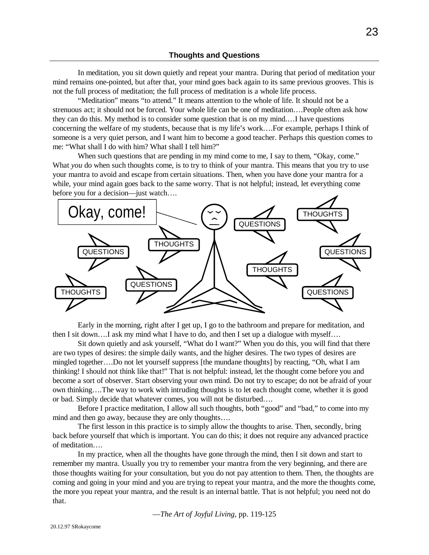In meditation, you sit down quietly and repeat your mantra. During that period of meditation your mind remains one-pointed, but after that, your mind goes back again to its same previous grooves. This is not the full process of meditation; the full process of meditation is a whole life process.

"Meditation" means "to attend." It means attention to the whole of life. It should not be a strenuous act; it should not be forced. Your whole life can be one of meditation….People often ask how they can do this. My method is to consider some question that is on my mind.…I have questions concerning the welfare of my students, because that is my life's work….For example, perhaps I think of someone is a very quiet person, and I want him to become a good teacher. Perhaps this question comes to me: "What shall I do with him? What shall I tell him?"

When such questions that are pending in my mind come to me, I say to them, "Okay, come." What *you* do when such thoughts come, is to try to think of your mantra. This means that you try to use your mantra to avoid and escape from certain situations. Then, when you have done your mantra for a while, your mind again goes back to the same worry. That is not helpful; instead, let everything come before you for a decision—just watch….



Early in the morning, right after I get up, I go to the bathroom and prepare for meditation, and then I sit down….I ask my mind what I have to do, and then I set up a dialogue with myself….

Sit down quietly and ask yourself, "What do I want?" When you do this, you will find that there are two types of desires: the simple daily wants, and the higher desires. The two types of desires are mingled together….Do not let yourself suppress [the mundane thoughts] by reacting, "Oh, what I am thinking! I should not think like that!" That is not helpful: instead, let the thought come before you and become a sort of observer. Start observing your own mind. Do not try to escape; do not be afraid of your own thinking….The way to work with intruding thoughts is to let each thought come, whether it is good or bad. Simply decide that whatever comes, you will not be disturbed….

Before I practice meditation, I allow all such thoughts, both "good" and "bad," to come into my mind and then go away, because they are only thoughts….

The first lesson in this practice is to simply allow the thoughts to arise. Then, secondly, bring back before yourself that which is important. You can do this; it does not require any advanced practice of meditation….

In my practice, when all the thoughts have gone through the mind, then I sit down and start to remember my mantra. Usually you try to remember your mantra from the very beginning, and there are those thoughts waiting for your consultation, but you do not pay attention to them. Then, the thoughts are coming and going in your mind and you are trying to repeat your mantra, and the more the thoughts come, the more you repeat your mantra, and the result is an internal battle. That is not helpful; you need not do that.

—*The Art of Joyful Living*, pp. 119-125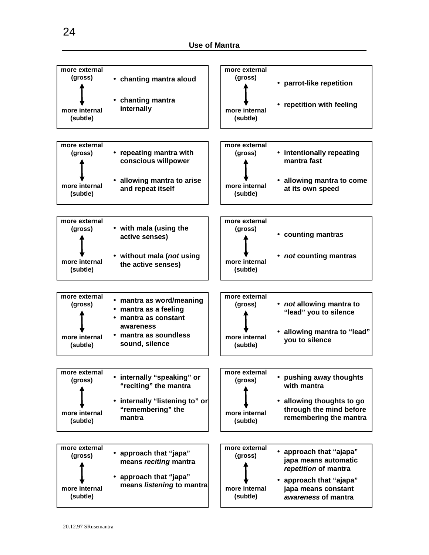**Use of Mantra** 

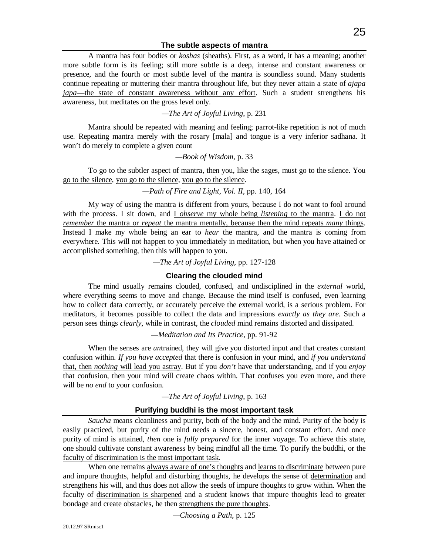### **The subtle aspects of mantra**

A mantra has four bodies or *koshas* (sheaths). First, as a word, it has a meaning; another more subtle form is its feeling; still more subtle is a deep, intense and constant awareness or presence, and the fourth or most subtle level of the mantra is soundless sound. Many students continue repeating or muttering their mantra throughout life, but they never attain a state of *ajapa japa*—the state of constant awareness without any effort. Such a student strengthens his awareness, but meditates on the gross level only.

*—The Art of Joyful Living*, p. 231

Mantra should be repeated with meaning and feeling; parrot-like repetition is not of much use. Repeating mantra merely with the rosary [mala] and tongue is a very inferior sadhana. It won't do merely to complete a given count

*—Book of Wisdom*, p. 33

To go to the subtler aspect of mantra, then you, like the sages, must go to the silence. You go to the silence, you go to the silence, you go to the silence.

*—Path of Fire and Light, Vol. II*, pp. 140, 164

My way of using the mantra is different from yours, because I do not want to fool around with the process. I sit down, and I *observe* my whole being *listening* to the mantra. I do not *remember* the mantra or *repeat* the mantra mentally, because then the mind repeats *many* things. Instead I make my whole being an ear to *hear* the mantra, and the mantra is coming from everywhere. This will not happen to you immediately in meditation, but when you have attained or accomplished something, then this will happen to you.

*—The Art of Joyful Living*, pp. 127-128

#### **Clearing the clouded mind**

The mind usually remains clouded, confused, and undisciplined in the *external* world, where everything seems to move and change. Because the mind itself is confused, even learning how to collect data correctly, or accurately perceive the external world, is a serious problem. For meditators, it becomes possible to collect the data and impressions *exactly as they are*. Such a person sees things *clearly*, while in contrast, the *clouded* mind remains distorted and dissipated.

*—Meditation and Its Practice*, pp. 91-92

When the senses are *un*trained, they will give you distorted input and that creates constant confusion within. *If you have accepted* that there is confusion in your mind, and *if you understand* that, then *nothing* will lead you astray. But if you *don't* have that understanding, and if you *enjoy* that confusion, then your mind will create chaos within. That confuses you even more, and there will be *no end* to your confusion.

*—The Art of Joyful Living*, p. 163

## **Purifying buddhi is the most important task**

*Saucha* means cleanliness and purity, both of the body and the mind. Purity of the body is easily practiced, but purity of the mind needs a sincere, honest, and constant effort. And once purity of mind is attained, *then* one is *fully prepared* for the inner voyage. To achieve this state, one should cultivate constant awareness by being mindful all the time. To purify the buddhi, or the faculty of discrimination is the most important task.

When one remains always aware of one's thoughts and learns to discriminate between pure and impure thoughts, helpful and disturbing thoughts, he develops the sense of determination and strengthens his will, and thus does not allow the seeds of impure thoughts to grow within. When the faculty of discrimination is sharpened and a student knows that impure thoughts lead to greater bondage and create obstacles, he then strengthens the pure thoughts.

*—Choosing a Path*, p. 125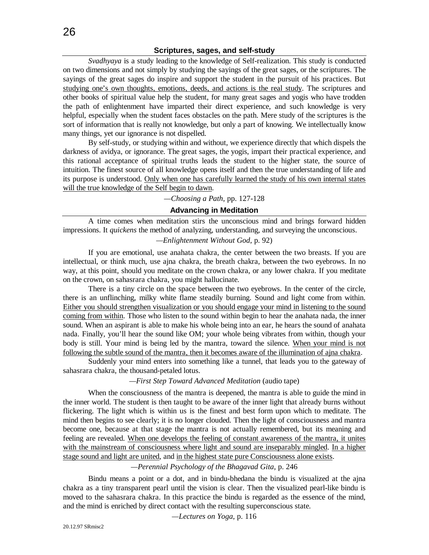## **Scriptures, sages, and self-study**

*Svadhyaya* is a study leading to the knowledge of Self-realization. This study is conducted on two dimensions and not simply by studying the sayings of the great sages, or the scriptures. The sayings of the great sages do inspire and support the student in the pursuit of his practices. But studying one's own thoughts, emotions, deeds, and actions is the real study. The scriptures and other books of spiritual value help the student, for many great sages and yogis who have trodden the path of enlightenment have imparted their direct experience, and such knowledge is very helpful, especially when the student faces obstacles on the path. Mere study of the scriptures is the sort of information that is really not knowledge, but only a part of knowing. We intellectually know many things, yet our ignorance is not dispelled.

By self-study, or studying within and without, we experience directly that which dispels the darkness of avidya, or ignorance. The great sages, the yogis, impart their practical experience, and this rational acceptance of spiritual truths leads the student to the higher state, the source of intuition. The finest source of all knowledge opens itself and then the true understanding of life and its purpose is understood. Only when one has carefully learned the study of his own internal states will the true knowledge of the Self begin to dawn.

*—Choosing a Path*, pp. 127-128

### **Advancing in Meditation**

A time comes when meditation stirs the unconscious mind and brings forward hidden impressions. It *quickens* the method of analyzing, understanding, and surveying the unconscious. *—Enlightenment Without God*, p. 92)

If you are emotional, use anahata chakra, the center between the two breasts. If you are intellectual, or think much, use ajna chakra, the breath chakra, between the two eyebrows. In no way, at this point, should you meditate on the crown chakra, or any lower chakra. If you meditate on the crown, on sahasrara chakra, you might hallucinate.

There is a tiny circle on the space between the two eyebrows. In the center of the circle, there is an unflinching, milky white flame steadily burning. Sound and light come from within. Either you should strengthen visualization or you should engage your mind in listening to the sound coming from within. Those who listen to the sound within begin to hear the anahata nada, the inner sound. When an aspirant is able to make his whole being into an ear, he hears the sound of anahata nada. Finally, you'll hear the sound like OM; your whole being vibrates from within, though your body is still. Your mind is being led by the mantra, toward the silence. When your mind is not following the subtle sound of the mantra, then it becomes aware of the illumination of ajna chakra.

Suddenly your mind enters into something like a tunnel, that leads you to the gateway of sahasrara chakra, the thousand-petaled lotus.

## *—First Step Toward Advanced Meditation* (audio tape)

When the consciousness of the mantra is deepened, the mantra is able to guide the mind in the inner world. The student is then taught to be aware of the inner light that already burns without flickering. The light which is within us is the finest and best form upon which to meditate. The mind then begins to see clearly; it is no longer clouded. Then the light of consciousness and mantra become one, because at that stage the mantra is not actually remembered, but its meaning and feeling are revealed. When one develops the feeling of constant awareness of the mantra, it unites with the mainstream of consciousness where light and sound are inseparably mingled. In a higher stage sound and light are united, and in the highest state pure Consciousness alone exists.

# *—Perennial Psychology of the Bhagavad Gita*, p. 246

Bindu means a point or a dot, and in bindu-bhedana the bindu is visualized at the ajna chakra as a tiny transparent pearl until the vision is clear. Then the visualized pearl-like bindu is moved to the sahasrara chakra. In this practice the bindu is regarded as the essence of the mind, and the mind is enriched by direct contact with the resulting superconscious state.

*—Lectures on Yoga*, p. 116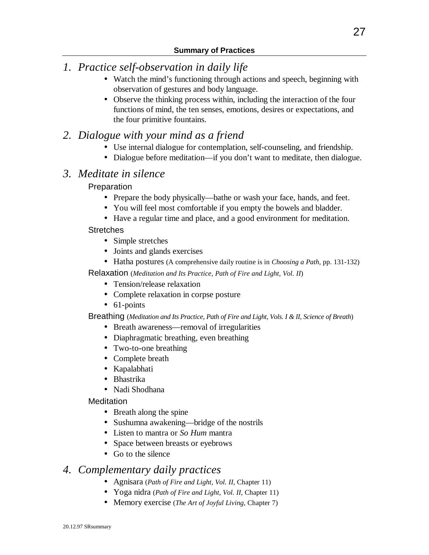# *1. Practice self-observation in daily life*

- Watch the mind's functioning through actions and speech, beginning with observation of gestures and body language.
- Observe the thinking process within, including the interaction of the four functions of mind, the ten senses, emotions, desires or expectations, and the four primitive fountains.

# *2. Dialogue with your mind as a friend*

- Use internal dialogue for contemplation, self-counseling, and friendship.
- Dialogue before meditation—if you don't want to meditate, then dialogue.

# *3. Meditate in silence*

Preparation

- Prepare the body physically—bathe or wash your face, hands, and feet.
- You will feel most comfortable if you empty the bowels and bladder.
- Have a regular time and place, and a good environment for meditation.

# **Stretches**

- Simple stretches
- Joints and glands exercises
- Hatha postures (A comprehensive daily routine is in *Choosing a Path*, pp. 131-132)

Relaxation (*Meditation and Its Practice*, *Path of Fire and Light, Vol. II*)

- Tension/release relaxation
- Complete relaxation in corpse posture
- 61-points

Breathing (*Meditation and Its Practice*, *Path of Fire and Light, Vols. I & II*, *Science of Breath*)

- Breath awareness—removal of irregularities
- Diaphragmatic breathing, even breathing
- Two-to-one breathing
- Complete breath
- Kapalabhati
- Bhastrika
- Nadi Shodhana

**Meditation** 

- Breath along the spine
- Sushumna awakening—bridge of the nostrils
- Listen to mantra or *So Hum* mantra
- Space between breasts or eyebrows
- Go to the silence

# *4. Complementary daily practices*

- Agnisara (*Path of Fire and Light, Vol. II*, Chapter 11)
- Yoga nidra (*Path of Fire and Light, Vol. II*, Chapter 11)
- Memory exercise (*The Art of Joyful Living*, Chapter 7)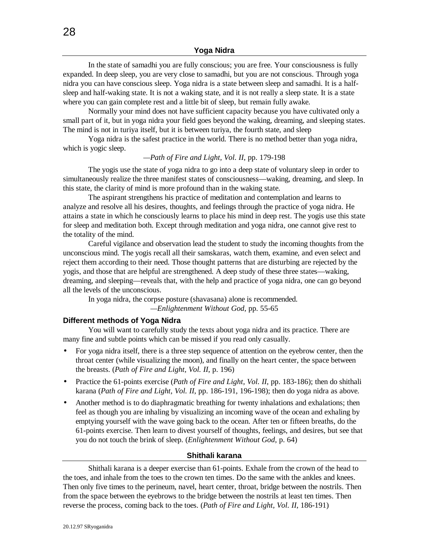In the state of samadhi you are fully conscious; you are free. Your consciousness is fully expanded. In deep sleep, you are very close to samadhi, but you are not conscious. Through yoga nidra you can have conscious sleep. Yoga nidra is a state between sleep and samadhi. It is a halfsleep and half-waking state. It is not a waking state, and it is not really a sleep state. It is a state where you can gain complete rest and a little bit of sleep, but remain fully awake.

Normally your mind does not have sufficient capacity because you have cultivated only a small part of it, but in yoga nidra your field goes beyond the waking, dreaming, and sleeping states. The mind is not in turiya itself, but it is between turiya, the fourth state, and sleep

Yoga nidra is the safest practice in the world. There is no method better than yoga nidra, which is yogic sleep.

*—Path of Fire and Light, Vol. II*, pp. 179-198

The yogis use the state of yoga nidra to go into a deep state of voluntary sleep in order to simultaneously realize the three manifest states of consciousness—waking, dreaming, and sleep. In this state, the clarity of mind is more profound than in the waking state.

The aspirant strengthens his practice of meditation and contemplation and learns to analyze and resolve all his desires, thoughts, and feelings through the practice of yoga nidra. He attains a state in which he consciously learns to place his mind in deep rest. The yogis use this state for sleep and meditation both. Except through meditation and yoga nidra, one cannot give rest to the totality of the mind.

Careful vigilance and observation lead the student to study the incoming thoughts from the unconscious mind. The yogis recall all their samskaras, watch them, examine, and even select and reject them according to their need. Those thought patterns that are disturbing are rejected by the yogis, and those that are helpful are strengthened. A deep study of these three states—waking, dreaming, and sleeping—reveals that, with the help and practice of yoga nidra, one can go beyond all the levels of the unconscious.

In yoga nidra, the corpse posture (shavasana) alone is recommended. *—Enlightenment Without God*, pp. 55-65

# **Different methods of Yoga Nidra**

You will want to carefully study the texts about yoga nidra and its practice. There are many fine and subtle points which can be missed if you read only casually.

- For yoga nidra itself, there is a three step sequence of attention on the eyebrow center, then the throat center (while visualizing the moon), and finally on the heart center, the space between the breasts. (*Path of Fire and Light, Vol. II*, p. 196)
- Practice the 61-points exercise (*Path of Fire and Light, Vol. II*, pp. 183-186); then do shithali karana (*Path of Fire and Light, Vol. II*, pp. 186-191, 196-198); then do yoga nidra as above.
- Another method is to do diaphragmatic breathing for twenty inhalations and exhalations; then feel as though you are inhaling by visualizing an incoming wave of the ocean and exhaling by emptying yourself with the wave going back to the ocean. After ten or fifteen breaths, do the 61-points exercise. Then learn to divest yourself of thoughts, feelings, and desires, but see that you do not touch the brink of sleep. (*Enlightenment Without God*, p. 64)

#### **Shithali karana**

Shithali karana is a deeper exercise than 61-points. Exhale from the crown of the head to the toes, and inhale from the toes to the crown ten times. Do the same with the ankles and knees. Then only five times to the perineum, navel, heart center, throat, bridge between the nostrils. Then from the space between the eyebrows to the bridge between the nostrils at least ten times. Then reverse the process, coming back to the toes. (*Path of Fire and Light, Vol. II*, 186-191)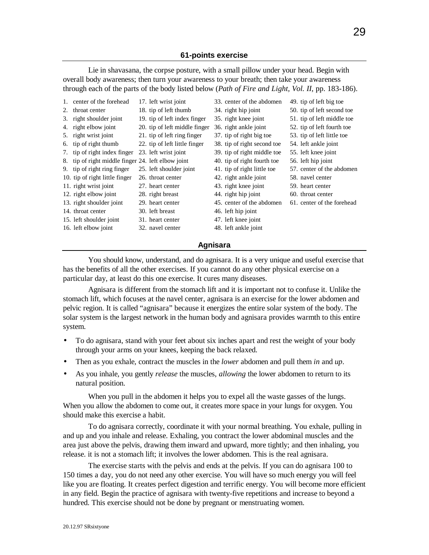#### **61-points exercise**

Lie in shavasana, the corpse posture, with a small pillow under your head. Begin with overall body awareness; then turn your awareness to your breath; then take your awareness through each of the parts of the body listed below (*Path of Fire and Light, Vol. II*, pp. 183-186).

| 1. center of the forehead                          | 17. left wrist joint          | 33. center of the abdomen   | 49. tip of left big toe    |
|----------------------------------------------------|-------------------------------|-----------------------------|----------------------------|
| 2. throat center                                   | 18. tip of left thumb         | 34. right hip joint         | 50. tip of left second toe |
| 3. right shoulder joint                            | 19. tip of left index finger  | 35. right knee joint        | 51. tip of left middle toe |
| 4. right elbow joint                               | 20. tip of left middle finger | 36. right ankle joint       | 52. tip of left fourth toe |
| 5. right wrist joint                               | 21. tip of left ring finger   | 37. tip of right big toe    | 53. tip of left little toe |
| 6. tip of right thumb                              | 22. tip of left little finger | 38. tip of right second toe | 54. left ankle joint       |
| 7. tip of right index finger                       | 23. left wrist joint          | 39. tip of right middle toe | 55. left knee joint        |
| 8. tip of right middle finger 24. left elbow joint |                               | 40. tip of right fourth toe | 56. left hip joint         |
| 9. tip of right ring finger                        | 25. left shoulder joint       | 41. tip of right little toe | 57. center of the abdomen  |
| 10. tip of right little finger                     | 26. throat center             | 42. right ankle joint       | 58. navel center           |
| 11. right wrist joint                              | 27. heart center              | 43. right knee joint        | 59. heart center           |
| 12. right elbow joint                              | 28. right breast              | 44. right hip joint         | 60. throat center          |
| 13. right shoulder joint                           | 29. heart center              | 45. center of the abdomen   | 61. center of the forehead |
| 14. throat center                                  | 30. left breast               | 46. left hip joint          |                            |
| 15. left shoulder joint                            | 31. heart center              | 47. left knee joint         |                            |
| 16. left elbow joint                               | 32. navel center              | 48. left ankle joint        |                            |
|                                                    |                               |                             |                            |

#### **Agnisara**

You should know, understand, and do agnisara. It is a very unique and useful exercise that has the benefits of all the other exercises. If you cannot do any other physical exercise on a particular day, at least do this one exercise. It cures many diseases.

Agnisara is different from the stomach lift and it is important not to confuse it. Unlike the stomach lift, which focuses at the navel center, agnisara is an exercise for the lower abdomen and pelvic region. It is called "agnisara" because it energizes the entire solar system of the body. The solar system is the largest network in the human body and agnisara provides warmth to this entire system.

- To do agnisara, stand with your feet about six inches apart and rest the weight of your body through your arms on your knees, keeping the back relaxed.
- Then as you exhale, contract the muscles in the *lower* abdomen and pull them *in* and *up*.
- As you inhale, you gently *release* the muscles, *allowing* the lower abdomen to return to its natural position.

When you pull in the abdomen it helps you to expel all the waste gasses of the lungs. When you allow the abdomen to come out, it creates more space in your lungs for oxygen. You should make this exercise a habit.

To do agnisara correctly, coordinate it with your normal breathing. You exhale, pulling in and up and you inhale and release. Exhaling, you contract the lower abdominal muscles and the area just above the pelvis, drawing them inward and upward, more tightly; and then inhaling, you release. it is not a stomach lift; it involves the lower abdomen. This is the real agnisara.

The exercise starts with the pelvis and ends at the pelvis. If you can do agnisara 100 to 150 times a day, you do not need any other exercise. You will have so much energy you will feel like you are floating. It creates perfect digestion and terrific energy. You will become more efficient in any field. Begin the practice of agnisara with twenty-five repetitions and increase to beyond a hundred. This exercise should not be done by pregnant or menstruating women.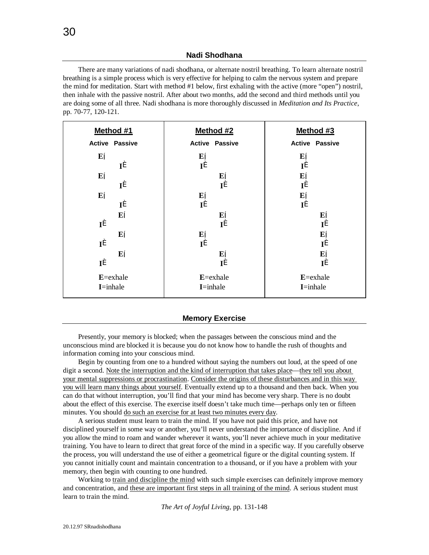There are many variations of nadi shodhana, or alternate nostril breathing. To learn alternate nostril breathing is a simple process which is very effective for helping to calm the nervous system and prepare the mind for meditation. Start with method #1 below, first exhaling with the active (more "open") nostril, then inhale with the passive nostril. After about two months, add the second and third methods until you are doing some of all three. Nadi shodhana is more thoroughly discussed in *Meditation and Its Practice*, pp. 70-77, 120-121.

| Method #1             | Method #2             | Method #3             |  |  |
|-----------------------|-----------------------|-----------------------|--|--|
| <b>Active Passive</b> | <b>Active Passive</b> | <b>Active Passive</b> |  |  |
| Eê                    | Eê                    | Eê                    |  |  |
| Ié                    | Ié                    | Ié                    |  |  |
| Eê                    | Eê                    | Eê                    |  |  |
| Ié                    | Ié                    | Ié                    |  |  |
| Eê                    | Eê                    | Eê                    |  |  |
| Ié                    | Ié                    | Ié                    |  |  |
| Eê                    | Eê                    | Eê                    |  |  |
| Ié                    | Ié                    | Ié                    |  |  |
| Eê                    | Eê                    | Eê                    |  |  |
| Ié                    | Ié                    | Ié                    |  |  |
| Eê                    | Eê                    | Eê                    |  |  |
| Ié                    | Ié                    | Ié                    |  |  |
| $E=exhale$            | $E=exhale$            | E=exhale              |  |  |
| <b>I</b> =inhale      | <b>I</b> =inhale      | <b>I</b> =inhale      |  |  |

#### **Memory Exercise**

Presently, your memory is blocked; when the passages between the conscious mind and the unconscious mind are blocked it is because you do not know how to handle the rush of thoughts and information coming into your conscious mind.

Begin by counting from one to a hundred without saying the numbers out loud, at the speed of one digit a second. Note the interruption and the kind of interruption that takes place—they tell you about your mental suppressions or procrastination. Consider the origins of these disturbances and in this way you will learn many things about yourself. Eventually extend up to a thousand and then back. When you can do that without interruption, you'll find that your mind has become very sharp. There is no doubt about the effect of this exercise. The exercise itself doesn't take much time—perhaps only ten or fifteen minutes. You should do such an exercise for at least two minutes every day.

A serious student must learn to train the mind. If you have not paid this price, and have not disciplined yourself in some way or another, you'll never understand the importance of discipline. And if you allow the mind to roam and wander wherever it wants, you'll never achieve much in your meditative training. You have to learn to direct that great force of the mind in a specific way. If you carefully observe the process, you will understand the use of either a geometrical figure or the digital counting system. If you cannot initially count and maintain concentration to a thousand, or if you have a problem with your memory, then begin with counting to one hundred.

Working to train and discipline the mind with such simple exercises can definitely improve memory and concentration, and these are important first steps in all training of the mind. A serious student must learn to train the mind.

*The Art of Joyful Living*, pp. 131-148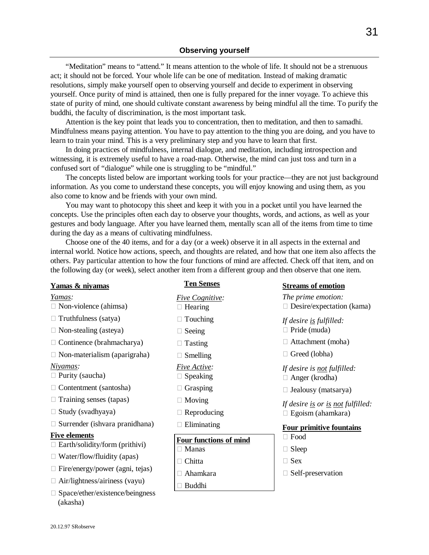"Meditation" means to "attend." It means attention to the whole of life. It should not be a strenuous act; it should not be forced. Your whole life can be one of meditation. Instead of making dramatic resolutions, simply make yourself open to observing yourself and decide to experiment in observing yourself. Once purity of mind is attained, then one is fully prepared for the inner voyage. To achieve this state of purity of mind, one should cultivate constant awareness by being mindful all the time. To purify the buddhi, the faculty of discrimination, is the most important task.

Attention is the key point that leads you to concentration, then to meditation, and then to samadhi. Mindfulness means paying attention. You have to pay attention to the thing you are doing, and you have to learn to train your mind. This is a very preliminary step and you have to learn that first.

In doing practices of mindfulness, internal dialogue, and meditation, including introspection and witnessing, it is extremely useful to have a road-map. Otherwise, the mind can just toss and turn in a confused sort of "dialogue" while one is struggling to be "mindful."

The concepts listed below are important working tools for your practice—they are not just background information. As you come to understand these concepts, you will enjoy knowing and using them, as you also come to know and be friends with your own mind.

You may want to photocopy this sheet and keep it with you in a pocket until you have learned the concepts. Use the principles often each day to observe your thoughts, words, and actions, as well as your gestures and body language. After you have learned them, mentally scan all of the items from time to time during the day as a means of cultivating mindfulness.

Choose one of the 40 items, and for a day (or a week) observe it in all aspects in the external and internal world. Notice how actions, speech, and thoughts are related, and how that one item also affects the others. Pay particular attention to how the four functions of mind are affected. Check off that item, and on the following day (or week), select another item from a different group and then observe that one item.

| <u>Yamas &amp; niyamas</u>                                    | <b>Ten Senses</b>               | <b>Streams of emotion</b>         |  |  |  |
|---------------------------------------------------------------|---------------------------------|-----------------------------------|--|--|--|
| Yamas:                                                        | <b>Five Cognitive:</b>          | The prime emotion:                |  |  |  |
| $\Box$ Non-violence (ahimsa)                                  | Hearing                         | Desire/expectation (kama)         |  |  |  |
| $\Box$ Truthfulness (satya)                                   | Touching                        | If desire is fulfilled:           |  |  |  |
| $\Box$ Non-stealing (asteya)                                  | Seeing                          | $\Box$ Pride (muda)               |  |  |  |
| $\Box$ Continence (brahmacharya)                              | Tasting                         | Attachment (moha)                 |  |  |  |
| $\Box$ Non-materialism (aparigraha)                           | Smelling                        | □ Greed (lobha)                   |  |  |  |
| Niyamas:                                                      | Five Active:                    | If desire is not fulfilled:       |  |  |  |
| $\Box$ Purity (saucha)                                        | Speaking                        | Anger (krodha)                    |  |  |  |
| $\Box$ Contentment (santosha)                                 | Grasping                        | $\Box$ Jealousy (matsarya)        |  |  |  |
| $\Box$ Training senses (tapas)                                | Moving                          | If desire is or is not fulfilled: |  |  |  |
| $\Box$ Study (svadhyaya)                                      | Reproducing                     | Egoism (ahamkara)                 |  |  |  |
| $\Box$ Surrender (ishvara pranidhana)                         | Eliminating                     | <b>Four primitive fountains</b>   |  |  |  |
| <b>Five elements</b><br>$\Box$ Earth/solidity/form (prithivi) | Four functions of mind<br>Manas | $\Box$ Food<br>Sleep              |  |  |  |
| $\Box$ Water/flow/fluidity (apas)                             | Chitta                          | Sex                               |  |  |  |
| $\Box$ Fire/energy/power (agni, tejas)                        | Ahamkara                        | Self-preservation                 |  |  |  |
| $\Box$ Air/lightness/airiness (vayu)                          | <b>Buddhi</b>                   |                                   |  |  |  |
| $\Box$ Space/ether/existence/beingness                        |                                 |                                   |  |  |  |

(akasha)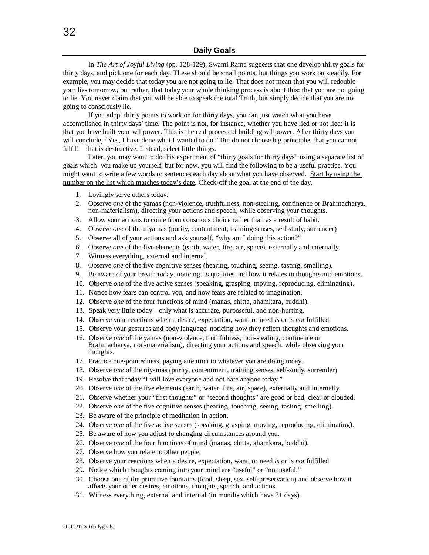In *The Art of Joyful Living* (pp. 128-129), Swami Rama suggests that one develop thirty goals for thirty days, and pick one for each day. These should be small points, but things you work on steadily. For example, you may decide that today you are not going to lie. That does not mean that you will redouble your lies tomorrow, but rather, that today your whole thinking process is about this: that you are not going to lie. You never claim that you will be able to speak the total Truth, but simply decide that you are not going to consciously lie.

If you adopt thirty points to work on for thirty days, you can just watch what you have accomplished in thirty days' time. The point is not, for instance, whether you have lied or not lied: it is that you have built your willpower. This is the real process of building willpower. After thirty days you will conclude, "Yes, I have done what I wanted to do." But do not choose big principles that you cannot fulfill—that is destructive. Instead, select little things.

Later, you may want to do this experiment of "thirty goals for thirty days" using a separate list of goals which you make up yourself, but for now, you will find the following to be a useful practice. You might want to write a few words or sentences each day about what you have observed. Start by using the number on the list which matches today's date. Check-off the goal at the end of the day.

- 1. Lovingly serve others today.
- 2. Observe *one* of the yamas (non-violence, truthfulness, non-stealing, continence or Brahmacharya, non-materialism), directing your actions and speech, while observing your thoughts.
- 3. Allow your actions to come from conscious choice rather than as a result of habit.
- 4. Observe *one* of the niyamas (purity, contentment, training senses, self-study, surrender)
- 5. Observe all of your actions and ask yourself, "why am I doing this action?"
- 6. Observe *one* of the five elements (earth, water, fire, air, space), externally and internally.
- 7. Witness everything, external and internal.
- 8. Observe *one* of the five cognitive senses (hearing, touching, seeing, tasting, smelling).
- 9. Be aware of your breath today, noticing its qualities and how it relates to thoughts and emotions.
- 10. Observe *one* of the five active senses (speaking, grasping, moving, reproducing, eliminating).
- 11. Notice how fears can control you, and how fears are related to imagination.
- 12. Observe *one* of the four functions of mind (manas, chitta, ahamkara, buddhi).
- 13. Speak very little today—only what is accurate, purposeful, and non-hurting.
- 14. Observe your reactions when a desire, expectation, want, or need *is* or is *not* fulfilled.
- 15. Observe your gestures and body language, noticing how they reflect thoughts and emotions.
- 16. Observe *one* of the yamas (non-violence, truthfulness, non-stealing, continence or Brahmacharya, non-materialism), directing your actions and speech, while observing your thoughts.
- 17. Practice one-pointedness, paying attention to whatever you are doing today.
- 18. Observe *one* of the niyamas (purity, contentment, training senses, self-study, surrender)
- 19. Resolve that today "I will love everyone and not hate anyone today."
- 20. Observe *one* of the five elements (earth, water, fire, air, space), externally and internally.
- 21. Observe whether your "first thoughts" or "second thoughts" are good or bad, clear or clouded.
- 22. Observe *one* of the five cognitive senses (hearing, touching, seeing, tasting, smelling).
- 23. Be aware of the principle of meditation in action.
- 24. Observe *one* of the five active senses (speaking, grasping, moving, reproducing, eliminating).
- 25. Be aware of how you adjust to changing circumstances around you.
- 26. Observe *one* of the four functions of mind (manas, chitta, ahamkara, buddhi).
- 27. Observe how you relate to other people.
- 28. Observe your reactions when a desire, expectation, want, or need *is* or is *not* fulfilled.
- 29. Notice which thoughts coming into your mind are "useful" or "not useful."
- 30. Choose one of the primitive fountains (food, sleep, sex, self-preservation) and observe how it affects your other desires, emotions, thoughts, speech, and actions.
- 31. Witness everything, external and internal (in months which have 31 days).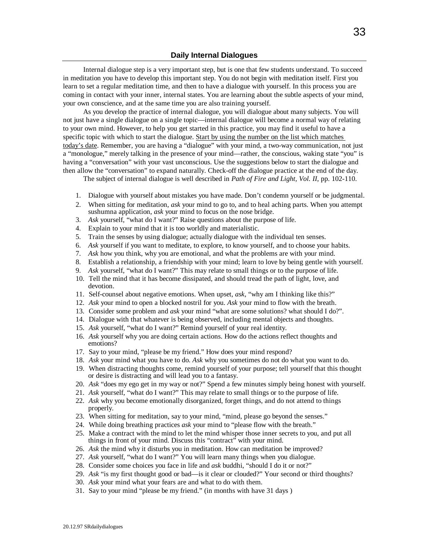Internal dialogue step is a very important step, but is one that few students understand. To succeed in meditation you have to develop this important step. You do not begin with meditation itself. First you learn to set a regular meditation time, and then to have a dialogue with yourself. In this process you are coming in contact with your inner, internal states. You are learning about the subtle aspects of your mind, your own conscience, and at the same time you are also training yourself.

As you develop the practice of internal dialogue, you will dialogue about many subjects. You will not just have a single dialogue on a single topic—internal dialogue will become a normal way of relating to your own mind. However, to help you get started in this practice, you may find it useful to have a specific topic with which to start the dialogue. Start by using the number on the list which matches today's date. Remember, you are having a "dialogue" with your mind, a two-way communication, not just a "monologue," merely talking in the presence of your mind—rather, the conscious, waking state "you" is having a "conversation" with your vast unconscious. Use the suggestions below to start the dialogue and then allow the "conversation" to expand naturally. Check-off the dialogue practice at the end of the day.

The subject of internal dialogue is well described in *Path of Fire and Light, Vol. II*, pp. 102-110.

- 1. Dialogue with yourself about mistakes you have made. Don't condemn yourself or be judgmental.
- 2. When sitting for meditation, *ask* your mind to go to, and to heal aching parts. When you attempt sushumna application, *ask* your mind to focus on the nose bridge.
- 3. *Ask* yourself, "what do I want?" Raise questions about the purpose of life.
- 4. Explain to your mind that it is too worldly and materialistic.
- 5. Train the senses by using dialogue; actually dialogue with the individual ten senses.
- 6. *Ask* yourself if you want to meditate, to explore, to know yourself, and to choose your habits.
- 7. *Ask* how you think, why you are emotional, and what the problems are with your mind.
- 8. Establish a relationship, a friendship with your mind; learn to love by being gentle with yourself.
- 9. *Ask* yourself, "what do I want?" This may relate to small things or to the purpose of life.
- 10. Tell the mind that it has become dissipated, and should tread the path of light, love, and devotion.
- 11. Self-counsel about negative emotions. When upset, *ask*, "why am I thinking like this?"
- 12. *Ask* your mind to open a blocked nostril for you. *Ask* your mind to flow with the breath.
- 13. Consider some problem and *ask* your mind "what are some solutions? what should I do?".
- 14. Dialogue with that whatever is being observed, including mental objects and thoughts.
- 15. *Ask* yourself, "what do I want?" Remind yourself of your real identity.
- 16. *Ask* yourself why you are doing certain actions. How do the actions reflect thoughts and emotions?
- 17. Say to your mind, "please be my friend." How does your mind respond?
- 18. *Ask* your mind what you have to do. *Ask* why you sometimes do not do what you want to do.
- 19. When distracting thoughts come, remind yourself of your purpose; tell yourself that this thought or desire is distracting and will lead you to a fantasy.
- 20. *Ask* "does my ego get in my way or not?" Spend a few minutes simply being honest with yourself.
- 21. *Ask* yourself, "what do I want?" This may relate to small things or to the purpose of life.
- 22. *Ask* why you become emotionally disorganized, forget things, and do not attend to things properly.
- 23. When sitting for meditation, say to your mind, "mind, please go beyond the senses."
- 24. While doing breathing practices *ask* your mind to "please flow with the breath."
- 25. Make a contract with the mind to let the mind whisper those inner secrets to you, and put all things in front of your mind. Discuss this "contract" with your mind.
- 26. *Ask* the mind why it disturbs you in meditation. How can meditation be improved?
- 27. *Ask* yourself, "what do I want?" You will learn many things when you dialogue.
- 28. Consider some choices you face in life and *ask* buddhi, "should I do it or not?"
- 29. *Ask* "is my first thought good or bad—is it clear or clouded?" Your second or third thoughts?
- 30. *Ask* your mind what your fears are and what to do with them.
- 31. Say to your mind "please be my friend." (in months with have 31 days )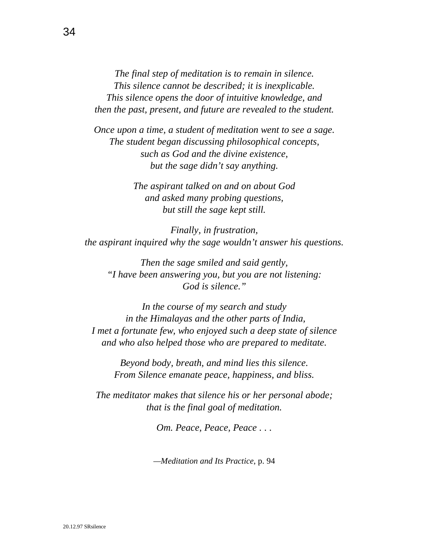*The final step of meditation is to remain in silence. This silence cannot be described; it is inexplicable. This silence opens the door of intuitive knowledge, and then the past, present, and future are revealed to the student.* 

*Once upon a time, a student of meditation went to see a sage. The student began discussing philosophical concepts, such as God and the divine existence, but the sage didn't say anything.* 

> *The aspirant talked on and on about God and asked many probing questions, but still the sage kept still.*

*Finally, in frustration, the aspirant inquired why the sage wouldn't answer his questions.* 

*Then the sage smiled and said gently, "I have been answering you, but you are not listening: God is silence."* 

*In the course of my search and study in the Himalayas and the other parts of India, I met a fortunate few, who enjoyed such a deep state of silence and who also helped those who are prepared to meditate.* 

*Beyond body, breath, and mind lies this silence. From Silence emanate peace, happiness, and bliss.* 

*The meditator makes that silence his or her personal abode; that is the final goal of meditation.* 

*Om. Peace, Peace, Peace . . .*

*—Meditation and Its Practice*, p. 94